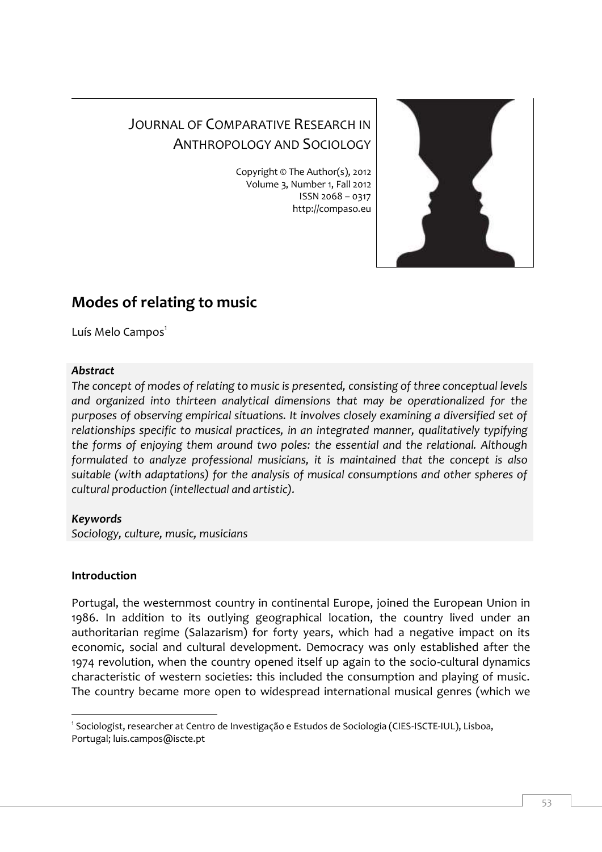# JOURNAL OF COMPARATIVE RESEARCH IN ANTHROPOLOGY AND SOCIOLOGY

Copyright © The Author(s), 2012 Volume 3, Number 1, Fall 2012 ISSN 2068 – 0317 http://compaso.eu



## **Modes of relating to music**

Luís Melo Campos<sup>1</sup>

#### *Abstract*

*The concept of modes of relating to music is presented, consisting of three conceptual levels and organized into thirteen analytical dimensions that may be operationalized for the purposes of observing empirical situations. It involves closely examining a diversified set of relationships specific to musical practices, in an integrated manner, qualitatively typifying the forms of enjoying them around two poles: the essential and the relational. Although formulated to analyze professional musicians, it is maintained that the concept is also suitable (with adaptations) for the analysis of musical consumptions and other spheres of cultural production (intellectual and artistic).*

### *Keywords*

*Sociology, culture, music, musicians*

### **Introduction**

Portugal, the westernmost country in continental Europe, joined the European Union in 1986. In addition to its outlying geographical location, the country lived under an authoritarian regime (Salazarism) for forty years, which had a negative impact on its economic, social and cultural development. Democracy was only established after the 1974 revolution, when the country opened itself up again to the socio-cultural dynamics characteristic of western societies: this included the consumption and playing of music. The country became more open to widespread international musical genres (which we

I 1 Sociologist, researcher at Centro de Investigação e Estudos de Sociologia (CIES-ISCTE-IUL), Lisboa, Portugal[; luis.campos@iscte.pt](mailto:luis.campos@iscte.pt)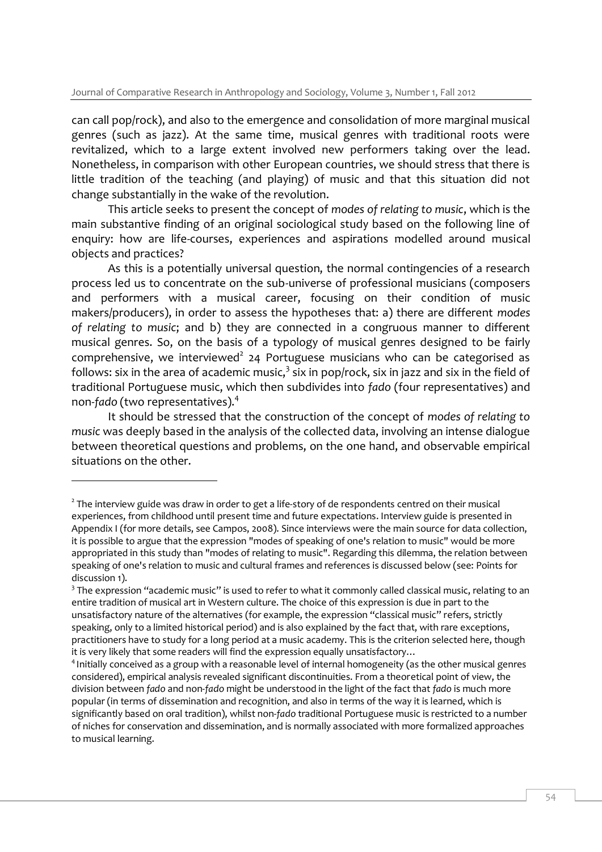can call pop/rock), and also to the emergence and consolidation of more marginal musical genres (such as jazz). At the same time, musical genres with traditional roots were revitalized, which to a large extent involved new performers taking over the lead. Nonetheless, in comparison with other European countries, we should stress that there is little tradition of the teaching (and playing) of music and that this situation did not change substantially in the wake of the revolution.

This article seeks to present the concept of *modes of relating to music*, which is the main substantive finding of an original sociological study based on the following line of enquiry: how are life-courses, experiences and aspirations modelled around musical objects and practices?

As this is a potentially universal question, the normal contingencies of a research process led us to concentrate on the sub-universe of professional musicians (composers and performers with a musical career, focusing on their condition of music makers/producers), in order to assess the hypotheses that: a) there are different *modes of relating to music*; and b) they are connected in a congruous manner to different musical genres. So, on the basis of a typology of musical genres designed to be fairly comprehensive, we interviewed<sup>2</sup> 24 Portuguese musicians who can be categorised as follows: six in the area of academic music, $^3$  six in pop/rock, six in jazz and six in the field of traditional Portuguese music, which then subdivides into *fado* (four representatives) and non-*fado* (two representatives).<sup>4</sup>

It should be stressed that the construction of the concept of *modes of relating to music* was deeply based in the analysis of the collected data, involving an intense dialogue between theoretical questions and problems, on the one hand, and observable empirical situations on the other.

I

 $2$  The interview guide was draw in order to get a life-story of de respondents centred on their musical experiences, from childhood until present time and future expectations. Interview guide is presented in Appendix I (for more details, see Campos, 2008). Since interviews were the main source for data collection, it is possible to argue that the expression "modes of speaking of one's relation to music" would be more appropriated in this study than "modes of relating to music". Regarding this dilemma, the relation between speaking of one's relation to music and cultural frames and references is discussed below (see: Points for discussion 1).

 $3$  The expression "academic music" is used to refer to what it commonly called classical music, relating to an entire tradition of musical art in Western culture. The choice of this expression is due in part to the unsatisfactory nature of the alternatives (for example, the expression "classical music" refers, strictly speaking, only to a limited historical period) and is also explained by the fact that, with rare exceptions, practitioners have to study for a long period at a music academy. This is the criterion selected here, though it is very likely that some readers will find the expression equally unsatisfactory…

<sup>&</sup>lt;sup>4</sup> Initially conceived as a group with a reasonable level of internal homogeneity (as the other musical genres considered), empirical analysis revealed significant discontinuities. From a theoretical point of view, the division between *fado* and non-*fado* might be understood in the light of the fact that *fado* is much more popular (in terms of dissemination and recognition, and also in terms of the way it is learned, which is significantly based on oral tradition), whilst non-*fado* traditional Portuguese music is restricted to a number of niches for conservation and dissemination, and is normally associated with more formalized approaches to musical learning.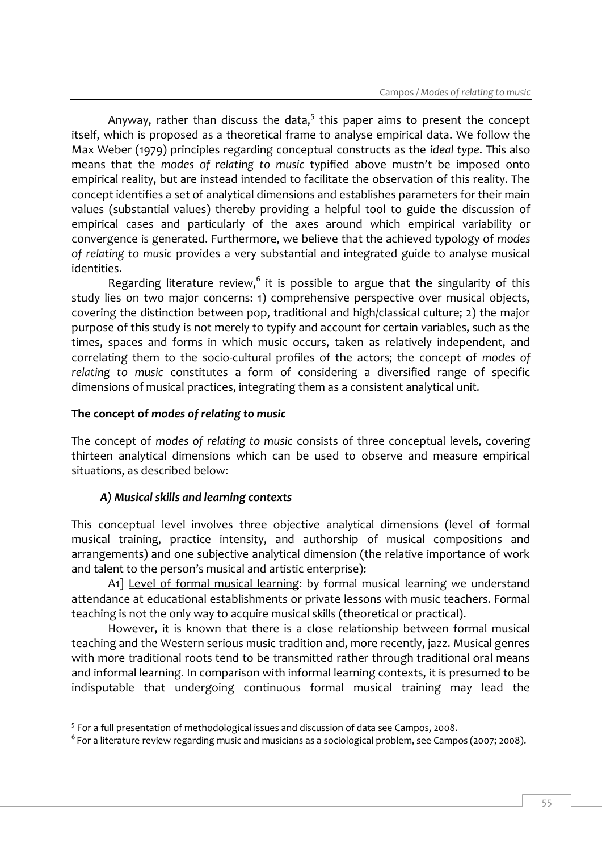Anyway, rather than discuss the data, $^5$  this paper aims to present the concept itself, which is proposed as a theoretical frame to analyse empirical data. We follow the Max Weber (1979) principles regarding conceptual constructs as the *ideal type*. This also means that the *modes of relating to music* typified above mustn't be imposed onto empirical reality, but are instead intended to facilitate the observation of this reality. The concept identifies a set of analytical dimensions and establishes parameters for their main values (substantial values) thereby providing a helpful tool to guide the discussion of empirical cases and particularly of the axes around which empirical variability or convergence is generated. Furthermore, we believe that the achieved typology of *modes of relating to music* provides a very substantial and integrated guide to analyse musical identities.

Regarding literature review, $6$  it is possible to argue that the singularity of this study lies on two major concerns: 1) comprehensive perspective over musical objects, covering the distinction between pop, traditional and high/classical culture; 2) the major purpose of this study is not merely to typify and account for certain variables, such as the times, spaces and forms in which music occurs, taken as relatively independent, and correlating them to the socio-cultural profiles of the actors; the concept of *modes of relating to music* constitutes a form of considering a diversified range of specific dimensions of musical practices, integrating them as a consistent analytical unit.

#### **The concept of** *modes of relating to music*

The concept of *modes of relating to music* consists of three conceptual levels, covering thirteen analytical dimensions which can be used to observe and measure empirical situations, as described below:

#### *A) Musical skills and learning contexts*

This conceptual level involves three objective analytical dimensions (level of formal musical training, practice intensity, and authorship of musical compositions and arrangements) and one subjective analytical dimension (the relative importance of work and talent to the person's musical and artistic enterprise):

A1] Level of formal musical learning: by formal musical learning we understand attendance at educational establishments or private lessons with music teachers. Formal teaching is not the only way to acquire musical skills (theoretical or practical).

However, it is known that there is a close relationship between formal musical teaching and the Western serious music tradition and, more recently, jazz. Musical genres with more traditional roots tend to be transmitted rather through traditional oral means and informal learning. In comparison with informal learning contexts, it is presumed to be indisputable that undergoing continuous formal musical training may lead the

 5 For a full presentation of methodological issues and discussion of data see Campos, 2008.

 $^6$  For a literature review regarding music and musicians as a sociological problem, see Campos (2007; 2008).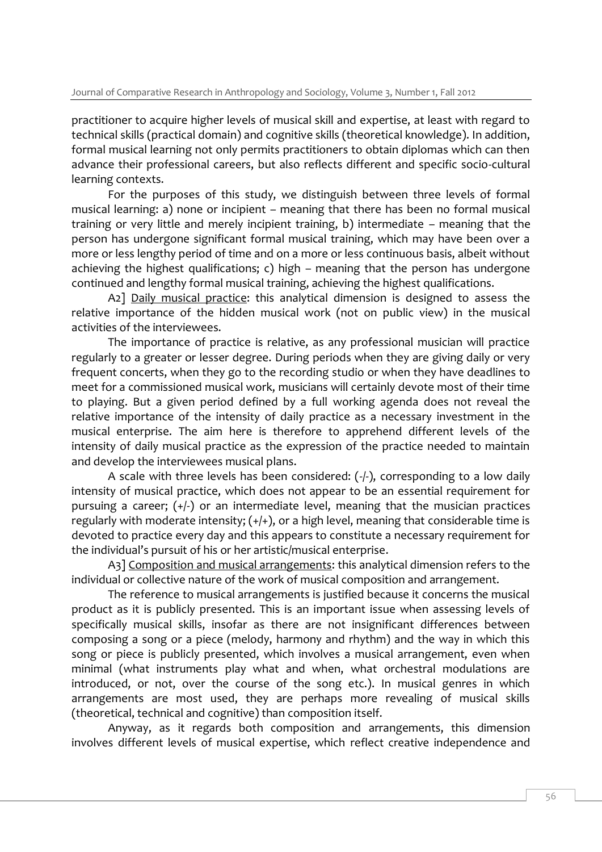practitioner to acquire higher levels of musical skill and expertise, at least with regard to technical skills (practical domain) and cognitive skills (theoretical knowledge). In addition, formal musical learning not only permits practitioners to obtain diplomas which can then advance their professional careers, but also reflects different and specific socio-cultural learning contexts.

For the purposes of this study, we distinguish between three levels of formal musical learning: a) none or incipient – meaning that there has been no formal musical training or very little and merely incipient training, b) intermediate – meaning that the person has undergone significant formal musical training, which may have been over a more or less lengthy period of time and on a more or less continuous basis, albeit without achieving the highest qualifications; c) high – meaning that the person has undergone continued and lengthy formal musical training, achieving the highest qualifications.

A2] Daily musical practice: this analytical dimension is designed to assess the relative importance of the hidden musical work (not on public view) in the musical activities of the interviewees.

The importance of practice is relative, as any professional musician will practice regularly to a greater or lesser degree. During periods when they are giving daily or very frequent concerts, when they go to the recording studio or when they have deadlines to meet for a commissioned musical work, musicians will certainly devote most of their time to playing. But a given period defined by a full working agenda does not reveal the relative importance of the intensity of daily practice as a necessary investment in the musical enterprise. The aim here is therefore to apprehend different levels of the intensity of daily musical practice as the expression of the practice needed to maintain and develop the interviewees musical plans.

A scale with three levels has been considered:  $(-/-)$ , corresponding to a low daily intensity of musical practice, which does not appear to be an essential requirement for pursuing a career; (+/-) or an intermediate level, meaning that the musician practices regularly with moderate intensity;  $(+/+)$ , or a high level, meaning that considerable time is devoted to practice every day and this appears to constitute a necessary requirement for the individual's pursuit of his or her artistic/musical enterprise.

A<sub>3</sub>] Composition and musical arrangements: this analytical dimension refers to the individual or collective nature of the work of musical composition and arrangement.

The reference to musical arrangements is justified because it concerns the musical product as it is publicly presented. This is an important issue when assessing levels of specifically musical skills, insofar as there are not insignificant differences between composing a song or a piece (melody, harmony and rhythm) and the way in which this song or piece is publicly presented, which involves a musical arrangement, even when minimal (what instruments play what and when, what orchestral modulations are introduced, or not, over the course of the song etc.). In musical genres in which arrangements are most used, they are perhaps more revealing of musical skills (theoretical, technical and cognitive) than composition itself.

Anyway, as it regards both composition and arrangements, this dimension involves different levels of musical expertise, which reflect creative independence and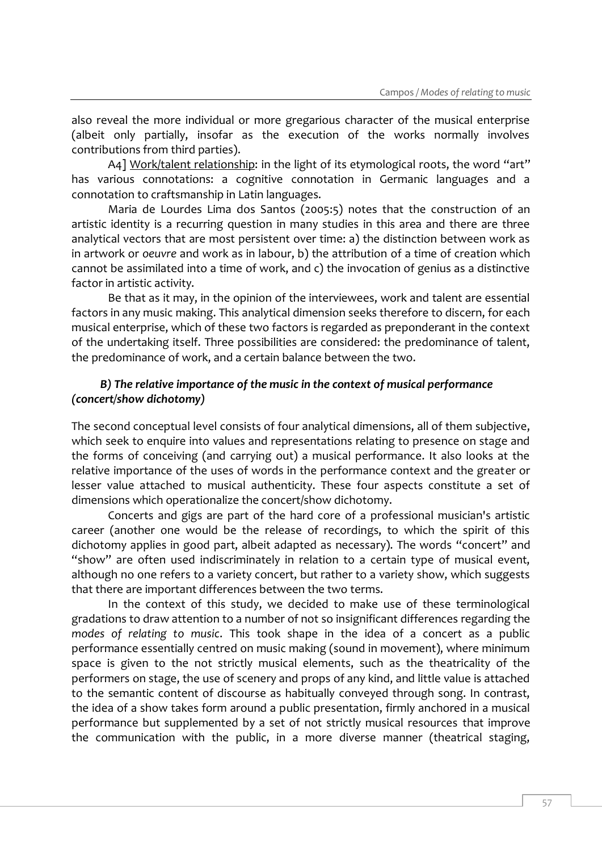also reveal the more individual or more gregarious character of the musical enterprise (albeit only partially, insofar as the execution of the works normally involves contributions from third parties).

A4] Work/talent relationship: in the light of its etymological roots, the word "art" has various connotations: a cognitive connotation in Germanic languages and a connotation to craftsmanship in Latin languages.

Maria de Lourdes Lima dos Santos (2005:5) notes that the construction of an artistic identity is a recurring question in many studies in this area and there are three analytical vectors that are most persistent over time: a) the distinction between work as in artwork or *oeuvre* and work as in labour, b) the attribution of a time of creation which cannot be assimilated into a time of work, and c) the invocation of genius as a distinctive factor in artistic activity.

Be that as it may, in the opinion of the interviewees, work and talent are essential factors in any music making. This analytical dimension seeks therefore to discern, for each musical enterprise, which of these two factors is regarded as preponderant in the context of the undertaking itself. Three possibilities are considered: the predominance of talent, the predominance of work, and a certain balance between the two.

#### *B) The relative importance of the music in the context of musical performance (concert/show dichotomy)*

The second conceptual level consists of four analytical dimensions, all of them subjective, which seek to enquire into values and representations relating to presence on stage and the forms of conceiving (and carrying out) a musical performance. It also looks at the relative importance of the uses of words in the performance context and the greater or lesser value attached to musical authenticity. These four aspects constitute a set of dimensions which operationalize the concert/show dichotomy.

Concerts and gigs are part of the hard core of a professional musician's artistic career (another one would be the release of recordings, to which the spirit of this dichotomy applies in good part, albeit adapted as necessary). The words "concert" and "show" are often used indiscriminately in relation to a certain type of musical event, although no one refers to a variety concert, but rather to a variety show, which suggests that there are important differences between the two terms.

In the context of this study, we decided to make use of these terminological gradations to draw attention to a number of not so insignificant differences regarding the *modes of relating to music*. This took shape in the idea of a concert as a public performance essentially centred on music making (sound in movement), where minimum space is given to the not strictly musical elements, such as the theatricality of the performers on stage, the use of scenery and props of any kind, and little value is attached to the semantic content of discourse as habitually conveyed through song. In contrast, the idea of a show takes form around a public presentation, firmly anchored in a musical performance but supplemented by a set of not strictly musical resources that improve the communication with the public, in a more diverse manner (theatrical staging,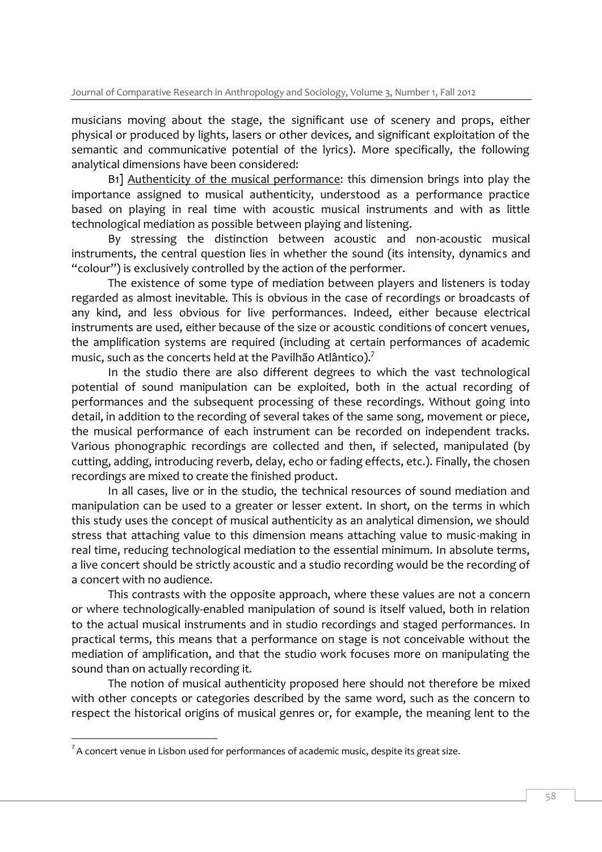musicians moving about the stage, the significant use of scenery and props, either physical or produced by lights, lasers or other devices, and significant exploitation of the semantic and communicative potential of the lyrics). More specifically, the following analytical dimensions have been considered:

B1] Authenticity of the musical performance: this dimension brings into play the importance assigned to musical authenticity, understood as a performance practice based on playing in real time with acoustic musical instruments and with as little technological mediation as possible between playing and listening.

By stressing the distinction between acoustic and non-acoustic musical instruments, the central question lies in whether the sound (its intensity, dynamics and "colour") is exclusively controlled by the action of the performer.

The existence of some type of mediation between players and listeners is today regarded as almost inevitable. This is obvious in the case of recordings or broadcasts of any kind, and less obvious for live performances. Indeed, either because electrical instruments are used, either because of the size or acoustic conditions of concert venues, the amplification systems are required (including at certain performances of academic music, such as the concerts held at the Pavilhão Atlântico).<sup>7</sup>

In the studio there are also different degrees to which the vast technological potential of sound manipulation can be exploited, both in the actual recording of performances and the subsequent processing of these recordings. Without going into detail, in addition to the recording of several takes of the same song, movement or piece, the musical performance of each instrument can be recorded on independent tracks. Various phonographic recordings are collected and then, if selected, manipulated (by cutting, adding, introducing reverb, delay, echo or fading effects, etc.). Finally, the chosen recordings are mixed to create the finished product.

In all cases, live or in the studio, the technical resources of sound mediation and manipulation can be used to a greater or lesser extent. In short, on the terms in which this study uses the concept of musical authenticity as an analytical dimension, we should stress that attaching value to this dimension means attaching value to music-making in real time, reducing technological mediation to the essential minimum. In absolute terms, a live concert should be strictly acoustic and a studio recording would be the recording of a concert with no audience.

This contrasts with the opposite approach, where these values are not a concern or where technologically-enabled manipulation of sound is itself valued, both in relation to the actual musical instruments and in studio recordings and staged performances. In practical terms, this means that a performance on stage is not conceivable without the mediation of amplification, and that the studio work focuses more on manipulating the sound than on actually recording it.

The notion of musical authenticity proposed here should not therefore be mixed with other concepts or categories described by the same word, such as the concern to respect the historical origins of musical genres or, for example, the meaning lent to the

I

 $7A$  concert venue in Lisbon used for performances of academic music, despite its great size.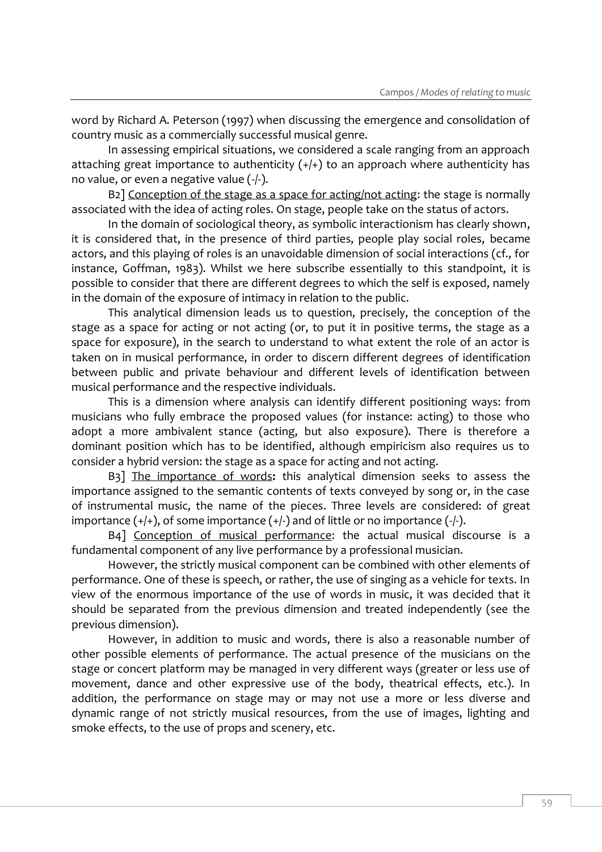word by Richard A. Peterson (1997) when discussing the emergence and consolidation of country music as a commercially successful musical genre.

In assessing empirical situations, we considered a scale ranging from an approach attaching great importance to authenticity  $(+/+)$  to an approach where authenticity has no value, or even a negative value (-/-).

B<sub>2</sub>] Conception of the stage as a space for acting/not acting: the stage is normally associated with the idea of acting roles. On stage, people take on the status of actors.

In the domain of sociological theory, as symbolic interactionism has clearly shown, it is considered that, in the presence of third parties, people play social roles, became actors, and this playing of roles is an unavoidable dimension of social interactions (cf., for instance, Goffman, 1983). Whilst we here subscribe essentially to this standpoint, it is possible to consider that there are different degrees to which the self is exposed, namely in the domain of the exposure of intimacy in relation to the public.

This analytical dimension leads us to question, precisely, the conception of the stage as a space for acting or not acting (or, to put it in positive terms, the stage as a space for exposure), in the search to understand to what extent the role of an actor is taken on in musical performance, in order to discern different degrees of identification between public and private behaviour and different levels of identification between musical performance and the respective individuals.

This is a dimension where analysis can identify different positioning ways: from musicians who fully embrace the proposed values (for instance: acting) to those who adopt a more ambivalent stance (acting, but also exposure). There is therefore a dominant position which has to be identified, although empiricism also requires us to consider a hybrid version: the stage as a space for acting and not acting.

B3] The importance of words**:** this analytical dimension seeks to assess the importance assigned to the semantic contents of texts conveyed by song or, in the case of instrumental music, the name of the pieces. Three levels are considered: of great importance  $(+/+)$ , of some importance  $(+/-)$  and of little or no importance  $(-/-)$ .

B4] Conception of musical performance: the actual musical discourse is a fundamental component of any live performance by a professional musician.

However, the strictly musical component can be combined with other elements of performance. One of these is speech, or rather, the use of singing as a vehicle for texts. In view of the enormous importance of the use of words in music, it was decided that it should be separated from the previous dimension and treated independently (see the previous dimension).

However, in addition to music and words, there is also a reasonable number of other possible elements of performance. The actual presence of the musicians on the stage or concert platform may be managed in very different ways (greater or less use of movement, dance and other expressive use of the body, theatrical effects, etc.). In addition, the performance on stage may or may not use a more or less diverse and dynamic range of not strictly musical resources, from the use of images, lighting and smoke effects, to the use of props and scenery, etc.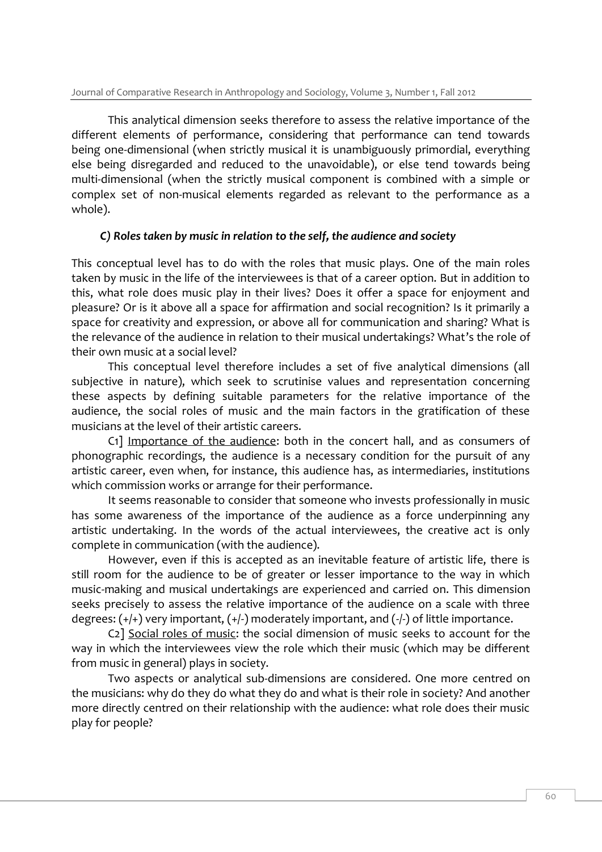This analytical dimension seeks therefore to assess the relative importance of the different elements of performance, considering that performance can tend towards being one-dimensional (when strictly musical it is unambiguously primordial, everything else being disregarded and reduced to the unavoidable), or else tend towards being multi-dimensional (when the strictly musical component is combined with a simple or complex set of non-musical elements regarded as relevant to the performance as a whole).

#### *C) Roles taken by music in relation to the self, the audience and society*

This conceptual level has to do with the roles that music plays. One of the main roles taken by music in the life of the interviewees is that of a career option. But in addition to this, what role does music play in their lives? Does it offer a space for enjoyment and pleasure? Or is it above all a space for affirmation and social recognition? Is it primarily a space for creativity and expression, or above all for communication and sharing? What is the relevance of the audience in relation to their musical undertakings? What's the role of their own music at a social level?

This conceptual level therefore includes a set of five analytical dimensions (all subjective in nature), which seek to scrutinise values and representation concerning these aspects by defining suitable parameters for the relative importance of the audience, the social roles of music and the main factors in the gratification of these musicians at the level of their artistic careers.

C1] Importance of the audience: both in the concert hall, and as consumers of phonographic recordings, the audience is a necessary condition for the pursuit of any artistic career, even when, for instance, this audience has, as intermediaries, institutions which commission works or arrange for their performance.

It seems reasonable to consider that someone who invests professionally in music has some awareness of the importance of the audience as a force underpinning any artistic undertaking. In the words of the actual interviewees, the creative act is only complete in communication (with the audience).

However, even if this is accepted as an inevitable feature of artistic life, there is still room for the audience to be of greater or lesser importance to the way in which music-making and musical undertakings are experienced and carried on. This dimension seeks precisely to assess the relative importance of the audience on a scale with three degrees:  $(+/+)$  very important,  $(+/-)$  moderately important, and  $(-/-)$  of little importance.

C2] Social roles of music: the social dimension of music seeks to account for the way in which the interviewees view the role which their music (which may be different from music in general) plays in society.

Two aspects or analytical sub-dimensions are considered. One more centred on the musicians: why do they do what they do and what is their role in society? And another more directly centred on their relationship with the audience: what role does their music play for people?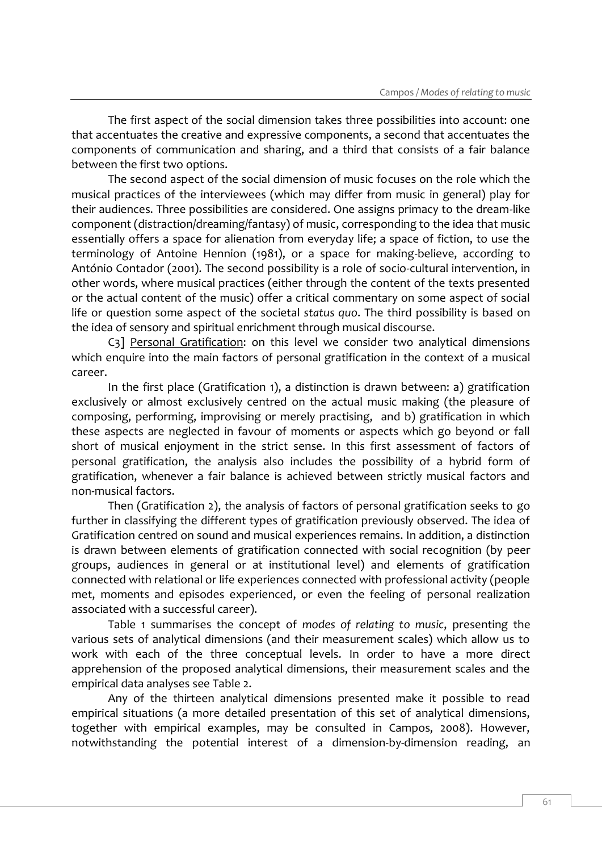The first aspect of the social dimension takes three possibilities into account: one that accentuates the creative and expressive components, a second that accentuates the components of communication and sharing, and a third that consists of a fair balance between the first two options.

The second aspect of the social dimension of music focuses on the role which the musical practices of the interviewees (which may differ from music in general) play for their audiences. Three possibilities are considered. One assigns primacy to the dream-like component (distraction/dreaming/fantasy) of music, corresponding to the idea that music essentially offers a space for alienation from everyday life; a space of fiction, to use the terminology of Antoine Hennion (1981), or a space for making-believe, according to António Contador (2001). The second possibility is a role of socio-cultural intervention, in other words, where musical practices (either through the content of the texts presented or the actual content of the music) offer a critical commentary on some aspect of social life or question some aspect of the societal *status quo*. The third possibility is based on the idea of sensory and spiritual enrichment through musical discourse.

C3] Personal Gratification: on this level we consider two analytical dimensions which enquire into the main factors of personal gratification in the context of a musical career.

In the first place (Gratification 1), a distinction is drawn between: a) gratification exclusively or almost exclusively centred on the actual music making (the pleasure of composing, performing, improvising or merely practising, and b) gratification in which these aspects are neglected in favour of moments or aspects which go beyond or fall short of musical enjoyment in the strict sense. In this first assessment of factors of personal gratification, the analysis also includes the possibility of a hybrid form of gratification, whenever a fair balance is achieved between strictly musical factors and non-musical factors.

Then (Gratification 2), the analysis of factors of personal gratification seeks to go further in classifying the different types of gratification previously observed. The idea of Gratification centred on sound and musical experiences remains. In addition, a distinction is drawn between elements of gratification connected with social recognition (by peer groups, audiences in general or at institutional level) and elements of gratification connected with relational or life experiences connected with professional activity (people met, moments and episodes experienced, or even the feeling of personal realization associated with a successful career).

Table 1 summarises the concept of *modes of relating to music*, presenting the various sets of analytical dimensions (and their measurement scales) which allow us to work with each of the three conceptual levels. In order to have a more direct apprehension of the proposed analytical dimensions, their measurement scales and the empirical data analyses see Table 2.

Any of the thirteen analytical dimensions presented make it possible to read empirical situations (a more detailed presentation of this set of analytical dimensions, together with empirical examples, may be consulted in Campos, 2008). However, notwithstanding the potential interest of a dimension-by-dimension reading, an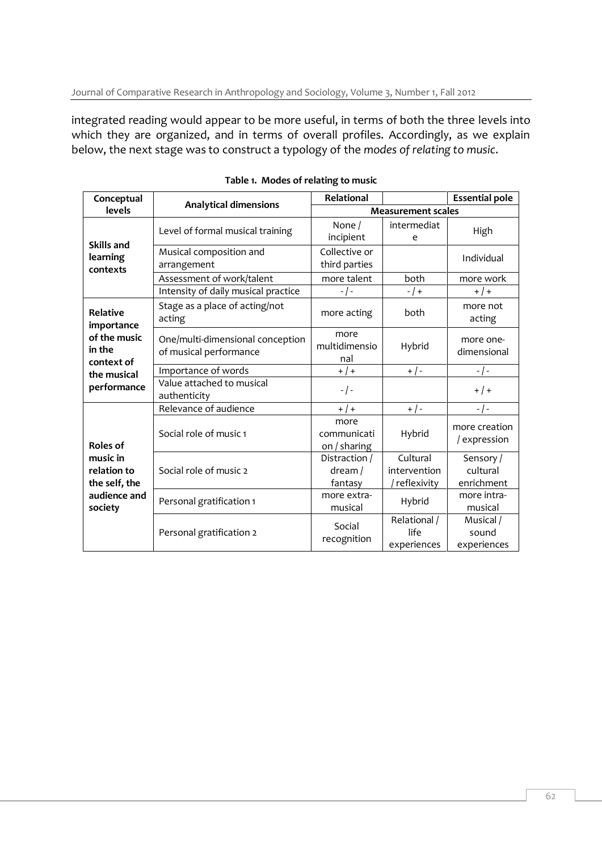integrated reading would appear to be more useful, in terms of both the three levels into which they are organized, and in terms of overall profiles. Accordingly, as we explain below, the next stage was to construct a typology of the *modes of relating to music*.

| Conceptual                                                                                          |                                                            | Relational                             |                                           | <b>Essential pole</b>               |  |  |
|-----------------------------------------------------------------------------------------------------|------------------------------------------------------------|----------------------------------------|-------------------------------------------|-------------------------------------|--|--|
| levels                                                                                              | <b>Analytical dimensions</b>                               | <b>Measurement scales</b>              |                                           |                                     |  |  |
| <b>Skills and</b>                                                                                   | Level of formal musical training                           | None /<br>incipient                    | intermediat<br>e                          | High                                |  |  |
| learning<br>contexts                                                                                | Musical composition and<br>arrangement                     | Collective or<br>third parties         |                                           | Individual                          |  |  |
|                                                                                                     | Assessment of work/talent                                  | more talent                            | both                                      | more work                           |  |  |
|                                                                                                     | Intensity of daily musical practice                        | $-$ / $-$                              | $-$ / +                                   | $+$   +                             |  |  |
| <b>Relative</b><br>importance<br>of the music<br>in the<br>context of<br>the musical<br>performance | Stage as a place of acting/not<br>acting                   | more acting                            | both                                      | more not<br>acting                  |  |  |
|                                                                                                     | One/multi-dimensional conception<br>of musical performance | more<br>multidimensio<br>nal           | Hybrid                                    | more one-<br>dimensional            |  |  |
|                                                                                                     | Importance of words                                        | $+$   +                                | $+$ / -                                   | $-$ / $-$                           |  |  |
|                                                                                                     | Value attached to musical<br>authenticity                  | $-$ / $-$                              |                                           | $+$ / +                             |  |  |
|                                                                                                     | Relevance of audience                                      | $+$   +                                | $+$ / -                                   | $-$ / $-$                           |  |  |
| <b>Roles of</b><br>music in<br>relation to<br>the self, the<br>audience and<br>society              | Social role of music 1                                     | more<br>communicati<br>on / sharing    | Hybrid                                    | more creation<br>/ expression       |  |  |
|                                                                                                     | Social role of music 2                                     | Distraction /<br>$d$ ream /<br>fantasy | Cultural<br>intervention<br>/ reflexivity | Sensory /<br>cultural<br>enrichment |  |  |
|                                                                                                     | Personal gratification 1                                   | more extra-<br>musical                 | Hybrid                                    | more intra-<br>musical              |  |  |
|                                                                                                     | Personal gratification 2                                   | Social<br>recognition                  | Relational /<br>life<br>experiences       | Musical /<br>sound<br>experiences   |  |  |

**Table 1. Modes of relating to music**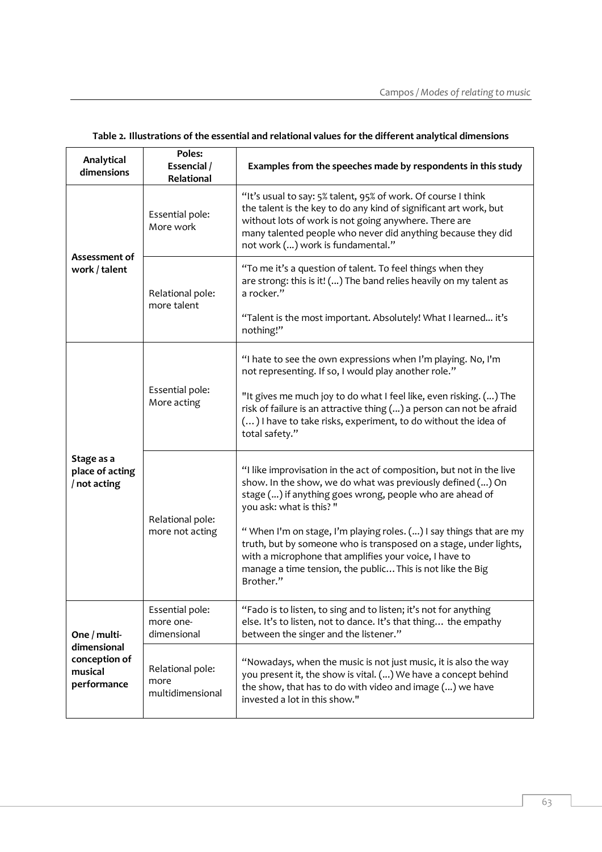| Analytical<br>dimensions                                               | Poles:<br>Essencial /<br>Relational          | Examples from the speeches made by respondents in this study                                                                                                                                                                                                                                                                                                                                                                                                                                               |  |  |  |
|------------------------------------------------------------------------|----------------------------------------------|------------------------------------------------------------------------------------------------------------------------------------------------------------------------------------------------------------------------------------------------------------------------------------------------------------------------------------------------------------------------------------------------------------------------------------------------------------------------------------------------------------|--|--|--|
| Assessment of<br>work / talent                                         | Essential pole:<br>More work                 | "It's usual to say: 5% talent, 95% of work. Of course I think<br>the talent is the key to do any kind of significant art work, but<br>without lots of work is not going anywhere. There are<br>many talented people who never did anything because they did<br>not work () work is fundamental."                                                                                                                                                                                                           |  |  |  |
|                                                                        | Relational pole:<br>more talent              | "To me it's a question of talent. To feel things when they<br>are strong: this is it! () The band relies heavily on my talent as<br>a rocker."<br>"Talent is the most important. Absolutely! What I learned it's<br>nothing!"                                                                                                                                                                                                                                                                              |  |  |  |
| Stage as a<br>place of acting<br>/ not acting                          | Essential pole:<br>More acting               | "I hate to see the own expressions when I'm playing. No, I'm<br>not representing. If so, I would play another role."<br>"It gives me much joy to do what I feel like, even risking. () The<br>risk of failure is an attractive thing () a person can not be afraid<br>() I have to take risks, experiment, to do without the idea of<br>total safety."                                                                                                                                                     |  |  |  |
|                                                                        | Relational pole:<br>more not acting          | "I like improvisation in the act of composition, but not in the live<br>show. In the show, we do what was previously defined () On<br>stage () if anything goes wrong, people who are ahead of<br>you ask: what is this? "<br>"When I'm on stage, I'm playing roles. () I say things that are my<br>truth, but by someone who is transposed on a stage, under lights,<br>with a microphone that amplifies your voice, I have to<br>manage a time tension, the public This is not like the Big<br>Brother." |  |  |  |
| One / multi-<br>dimensional<br>conception of<br>musical<br>performance | Essential pole:<br>more one-<br>dimensional  | "Fado is to listen, to sing and to listen; it's not for anything<br>else. It's to listen, not to dance. It's that thing the empathy<br>between the singer and the listener."                                                                                                                                                                                                                                                                                                                               |  |  |  |
|                                                                        | Relational pole:<br>more<br>multidimensional | "Nowadays, when the music is not just music, it is also the way<br>you present it, the show is vital. () We have a concept behind<br>the show, that has to do with video and image () we have<br>invested a lot in this show."                                                                                                                                                                                                                                                                             |  |  |  |

#### **Table 2. Illustrations of the essential and relational values for the different analytical dimensions**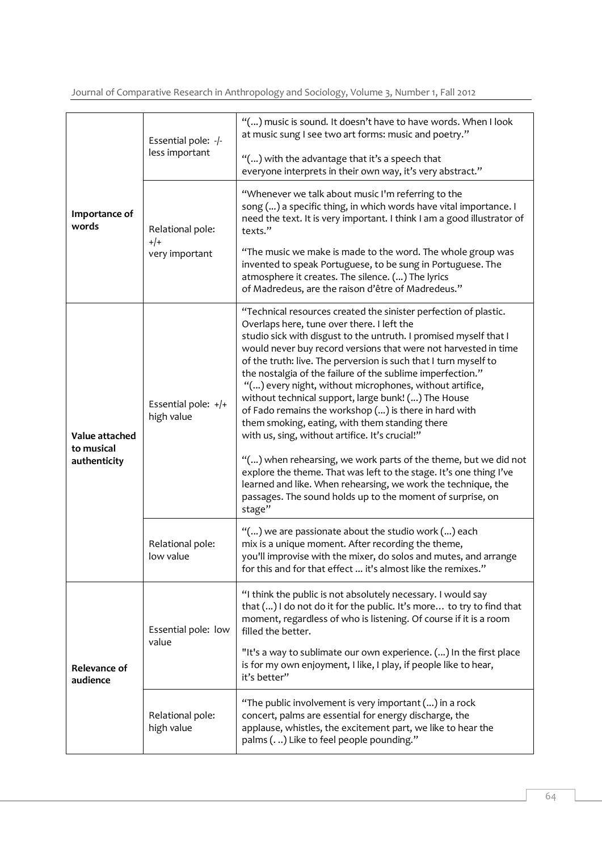Journal of Comparative Research in Anthropology and Sociology, Volume 3, Number 1, Fall 2012

|                                              | Essential pole: -/-<br>less important | "() music is sound. It doesn't have to have words. When I look<br>at music sung I see two art forms: music and poetry."<br>"() with the advantage that it's a speech that<br>everyone interprets in their own way, it's very abstract."                                                                                                                                                                                                                                                                                                                                                                                                                                                                                                                                                                                                                                                                                                                    |  |  |
|----------------------------------------------|---------------------------------------|------------------------------------------------------------------------------------------------------------------------------------------------------------------------------------------------------------------------------------------------------------------------------------------------------------------------------------------------------------------------------------------------------------------------------------------------------------------------------------------------------------------------------------------------------------------------------------------------------------------------------------------------------------------------------------------------------------------------------------------------------------------------------------------------------------------------------------------------------------------------------------------------------------------------------------------------------------|--|--|
| Importance of<br>words                       | Relational pole:<br>$+/-$             | "Whenever we talk about music I'm referring to the<br>song () a specific thing, in which words have vital importance. I<br>need the text. It is very important. I think I am a good illustrator of<br>texts."                                                                                                                                                                                                                                                                                                                                                                                                                                                                                                                                                                                                                                                                                                                                              |  |  |
|                                              | very important                        | "The music we make is made to the word. The whole group was<br>invented to speak Portuguese, to be sung in Portuguese. The<br>atmosphere it creates. The silence. () The lyrics<br>of Madredeus, are the raison d'être of Madredeus."                                                                                                                                                                                                                                                                                                                                                                                                                                                                                                                                                                                                                                                                                                                      |  |  |
| Value attached<br>to musical<br>authenticity | Essential pole: +/+<br>high value     | "Technical resources created the sinister perfection of plastic.<br>Overlaps here, tune over there. I left the<br>studio sick with disgust to the untruth. I promised myself that I<br>would never buy record versions that were not harvested in time<br>of the truth: live. The perversion is such that I turn myself to<br>the nostalgia of the failure of the sublime imperfection."<br>"() every night, without microphones, without artifice,<br>without technical support, large bunk! () The House<br>of Fado remains the workshop () is there in hard with<br>them smoking, eating, with them standing there<br>with us, sing, without artifice. It's crucial!"<br>"() when rehearsing, we work parts of the theme, but we did not<br>explore the theme. That was left to the stage. It's one thing I've<br>learned and like. When rehearsing, we work the technique, the<br>passages. The sound holds up to the moment of surprise, on<br>stage" |  |  |
|                                              | Relational pole:<br>low value         | "() we are passionate about the studio work () each<br>mix is a unique moment. After recording the theme,<br>you'll improvise with the mixer, do solos and mutes, and arrange<br>for this and for that effect  it's almost like the remixes."                                                                                                                                                                                                                                                                                                                                                                                                                                                                                                                                                                                                                                                                                                              |  |  |
| Relevance of<br>audience                     | Essential pole: low<br>value          | "I think the public is not absolutely necessary. I would say<br>that () I do not do it for the public. It's more to try to find that<br>moment, regardless of who is listening. Of course if it is a room<br>filled the better.                                                                                                                                                                                                                                                                                                                                                                                                                                                                                                                                                                                                                                                                                                                            |  |  |
|                                              |                                       | "It's a way to sublimate our own experience. () In the first place<br>is for my own enjoyment, I like, I play, if people like to hear,<br>it's better"                                                                                                                                                                                                                                                                                                                                                                                                                                                                                                                                                                                                                                                                                                                                                                                                     |  |  |
|                                              | Relational pole:<br>high value        | "The public involvement is very important () in a rock<br>concert, palms are essential for energy discharge, the<br>applause, whistles, the excitement part, we like to hear the<br>palms () Like to feel people pounding."                                                                                                                                                                                                                                                                                                                                                                                                                                                                                                                                                                                                                                                                                                                                |  |  |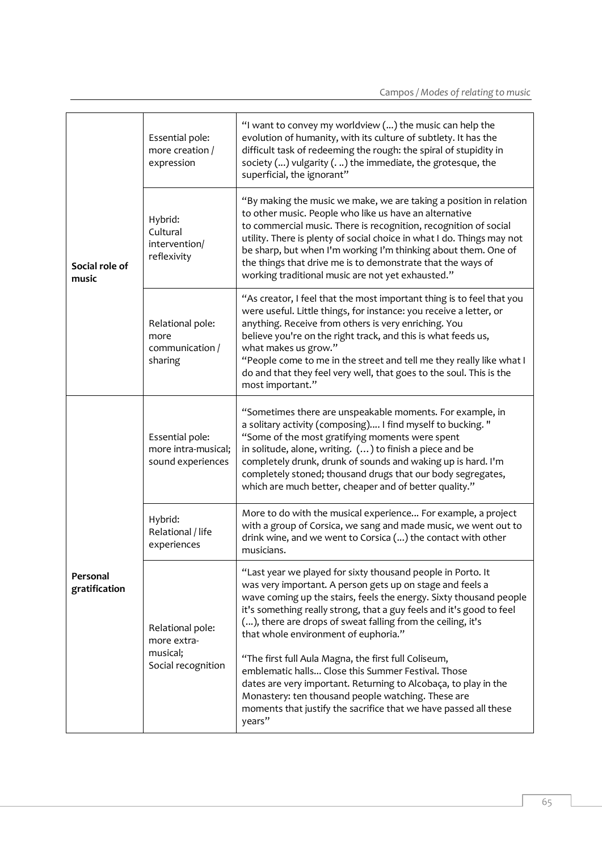|                           | Essential pole:<br>more creation /<br>expression            | "I want to convey my worldview () the music can help the<br>evolution of humanity, with its culture of subtlety. It has the<br>difficult task of redeeming the rough: the spiral of stupidity in<br>society $()$ vulgarity $()$ the immediate, the grotesque, the<br>superficial, the ignorant"                                                                                                                                                                  |  |
|---------------------------|-------------------------------------------------------------|------------------------------------------------------------------------------------------------------------------------------------------------------------------------------------------------------------------------------------------------------------------------------------------------------------------------------------------------------------------------------------------------------------------------------------------------------------------|--|
| Social role of<br>music   | Hybrid:<br>Cultural<br>intervention/<br>reflexivity         | "By making the music we make, we are taking a position in relation<br>to other music. People who like us have an alternative<br>to commercial music. There is recognition, recognition of social<br>utility. There is plenty of social choice in what I do. Things may not<br>be sharp, but when I'm working I'm thinking about them. One of<br>the things that drive me is to demonstrate that the ways of<br>working traditional music are not yet exhausted." |  |
|                           | Relational pole:<br>more<br>communication /<br>sharing      | "As creator, I feel that the most important thing is to feel that you<br>were useful. Little things, for instance: you receive a letter, or<br>anything. Receive from others is very enriching. You<br>believe you're on the right track, and this is what feeds us,<br>what makes us grow."<br>"People come to me in the street and tell me they really like what I<br>do and that they feel very well, that goes to the soul. This is the<br>most important."  |  |
|                           | Essential pole:<br>more intra-musical;<br>sound experiences | "Sometimes there are unspeakable moments. For example, in<br>a solitary activity (composing) I find myself to bucking. "<br>"Some of the most gratifying moments were spent<br>in solitude, alone, writing. () to finish a piece and be<br>completely drunk, drunk of sounds and waking up is hard. I'm<br>completely stoned; thousand drugs that our body segregates,<br>which are much better, cheaper and of better quality."                                 |  |
|                           | Hybrid:<br>Relational / life<br>experiences                 | More to do with the musical experience For example, a project<br>with a group of Corsica, we sang and made music, we went out to<br>drink wine, and we went to Corsica () the contact with other<br>musicians.                                                                                                                                                                                                                                                   |  |
| Personal<br>gratification | Relational pole:<br>more extra-                             | "Last year we played for sixty thousand people in Porto. It<br>was very important. A person gets up on stage and feels a<br>wave coming up the stairs, feels the energy. Sixty thousand people<br>it's something really strong, that a guy feels and it's good to feel<br>(), there are drops of sweat falling from the ceiling, it's<br>that whole environment of euphoria."                                                                                    |  |
|                           | musical;<br>Social recognition                              | "The first full Aula Magna, the first full Coliseum,<br>emblematic halls Close this Summer Festival. Those<br>dates are very important. Returning to Alcobaça, to play in the<br>Monastery: ten thousand people watching. These are<br>moments that justify the sacrifice that we have passed all these<br>years"                                                                                                                                                |  |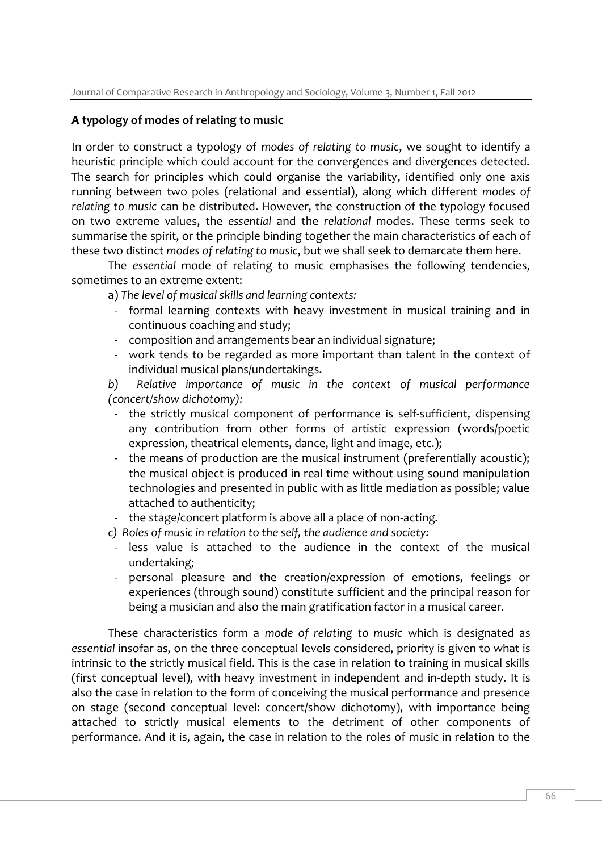#### **A typology of modes of relating to music**

In order to construct a typology of *modes of relating to music*, we sought to identify a heuristic principle which could account for the convergences and divergences detected. The search for principles which could organise the variability, identified only one axis running between two poles (relational and essential), along which different *modes of relating to music* can be distributed. However, the construction of the typology focused on two extreme values, the *essential* and the *relational* modes. These terms seek to summarise the spirit, or the principle binding together the main characteristics of each of these two distinct *modes of relating to music*, but we shall seek to demarcate them here.

The *essential* mode of relating to music emphasises the following tendencies, sometimes to an extreme extent:

- a) *The level of musical skills and learning contexts:*
- formal learning contexts with heavy investment in musical training and in continuous coaching and study;
- composition and arrangements bear an individual signature;
- work tends to be regarded as more important than talent in the context of individual musical plans/undertakings.

*b) Relative importance of music in the context of musical performance (concert/show dichotomy):*

- the strictly musical component of performance is self-sufficient, dispensing any contribution from other forms of artistic expression (words/poetic expression, theatrical elements, dance, light and image, etc.);
- the means of production are the musical instrument (preferentially acoustic); the musical object is produced in real time without using sound manipulation technologies and presented in public with as little mediation as possible; value attached to authenticity;
- the stage/concert platform is above all a place of non-acting.

*c) Roles of music in relation to the self, the audience and society:*

- less value is attached to the audience in the context of the musical undertaking;
- personal pleasure and the creation/expression of emotions, feelings or experiences (through sound) constitute sufficient and the principal reason for being a musician and also the main gratification factor in a musical career.

These characteristics form a *mode of relating to music* which is designated as *essential* insofar as, on the three conceptual levels considered, priority is given to what is intrinsic to the strictly musical field. This is the case in relation to training in musical skills (first conceptual level), with heavy investment in independent and in-depth study. It is also the case in relation to the form of conceiving the musical performance and presence on stage (second conceptual level: concert/show dichotomy), with importance being attached to strictly musical elements to the detriment of other components of performance. And it is, again, the case in relation to the roles of music in relation to the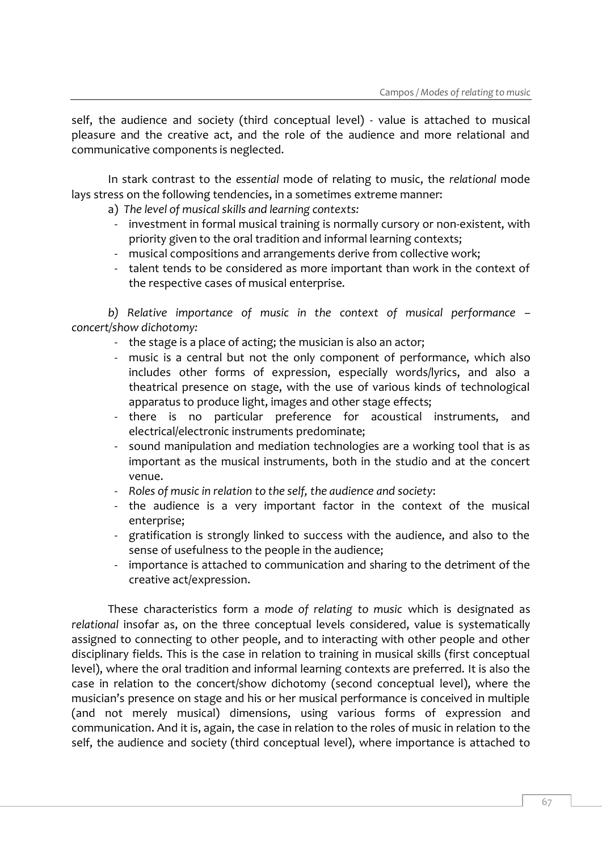self, the audience and society (third conceptual level) - value is attached to musical pleasure and the creative act, and the role of the audience and more relational and communicative components is neglected.

In stark contrast to the *essential* mode of relating to music, the *relational* mode lays stress on the following tendencies, in a sometimes extreme manner:

a) *The level of musical skills and learning contexts:*

- investment in formal musical training is normally cursory or non-existent, with priority given to the oral tradition and informal learning contexts;
- musical compositions and arrangements derive from collective work;
- talent tends to be considered as more important than work in the context of the respective cases of musical enterprise.

*b) Relative importance of music in the context of musical performance – concert/show dichotomy:*

- the stage is a place of acting; the musician is also an actor;
- music is a central but not the only component of performance, which also includes other forms of expression, especially words/lyrics, and also a theatrical presence on stage, with the use of various kinds of technological apparatus to produce light, images and other stage effects;
- there is no particular preference for acoustical instruments, and electrical/electronic instruments predominate;
- sound manipulation and mediation technologies are a working tool that is as important as the musical instruments, both in the studio and at the concert venue.
- *Roles of music in relation to the self, the audience and society*:
- the audience is a very important factor in the context of the musical enterprise;
- gratification is strongly linked to success with the audience, and also to the sense of usefulness to the people in the audience;
- importance is attached to communication and sharing to the detriment of the creative act/expression.

These characteristics form a *mode of relating to music* which is designated as *relational* insofar as, on the three conceptual levels considered, value is systematically assigned to connecting to other people, and to interacting with other people and other disciplinary fields. This is the case in relation to training in musical skills (first conceptual level), where the oral tradition and informal learning contexts are preferred. It is also the case in relation to the concert/show dichotomy (second conceptual level), where the musician's presence on stage and his or her musical performance is conceived in multiple (and not merely musical) dimensions, using various forms of expression and communication. And it is, again, the case in relation to the roles of music in relation to the self, the audience and society (third conceptual level), where importance is attached to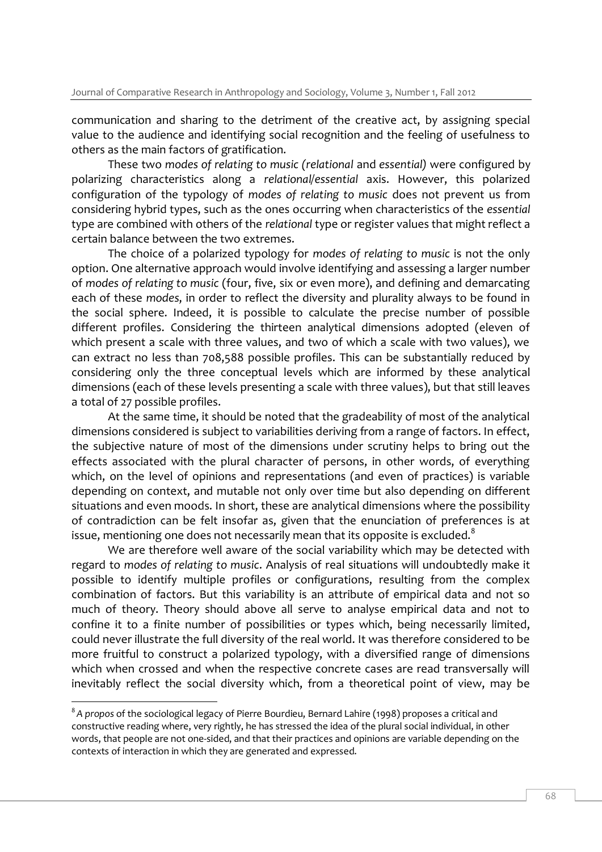communication and sharing to the detriment of the creative act, by assigning special value to the audience and identifying social recognition and the feeling of usefulness to others as the main factors of gratification.

These two *modes of relating to music (relational* and *essential)* were configured by polarizing characteristics along a *relational/essential* axis. However, this polarized configuration of the typology of *modes of relating to music* does not prevent us from considering hybrid types, such as the ones occurring when characteristics of the *essential* type are combined with others of the *relational* type or register values that might reflect a certain balance between the two extremes.

The choice of a polarized typology for *modes of relating to music* is not the only option. One alternative approach would involve identifying and assessing a larger number of *modes of relating to music* (four, five, six or even more), and defining and demarcating each of these *modes*, in order to reflect the diversity and plurality always to be found in the social sphere. Indeed, it is possible to calculate the precise number of possible different profiles. Considering the thirteen analytical dimensions adopted (eleven of which present a scale with three values, and two of which a scale with two values), we can extract no less than 708,588 possible profiles. This can be substantially reduced by considering only the three conceptual levels which are informed by these analytical dimensions (each of these levels presenting a scale with three values), but that still leaves a total of 27 possible profiles.

At the same time, it should be noted that the gradeability of most of the analytical dimensions considered is subject to variabilities deriving from a range of factors. In effect, the subjective nature of most of the dimensions under scrutiny helps to bring out the effects associated with the plural character of persons, in other words, of everything which, on the level of opinions and representations (and even of practices) is variable depending on context, and mutable not only over time but also depending on different situations and even moods. In short, these are analytical dimensions where the possibility of contradiction can be felt insofar as, given that the enunciation of preferences is at issue, mentioning one does not necessarily mean that its opposite is excluded. $8$ 

We are therefore well aware of the social variability which may be detected with regard to *modes of relating to music*. Analysis of real situations will undoubtedly make it possible to identify multiple profiles or configurations, resulting from the complex combination of factors. But this variability is an attribute of empirical data and not so much of theory. Theory should above all serve to analyse empirical data and not to confine it to a finite number of possibilities or types which, being necessarily limited, could never illustrate the full diversity of the real world. It was therefore considered to be more fruitful to construct a polarized typology, with a diversified range of dimensions which when crossed and when the respective concrete cases are read transversally will inevitably reflect the social diversity which, from a theoretical point of view, may be

I

 $\rm{^8}$ A propos of the sociological legacy of Pierre Bourdieu, Bernard Lahire (1998) proposes a critical and constructive reading where, very rightly, he has stressed the idea of the plural social individual, in other words, that people are not one-sided, and that their practices and opinions are variable depending on the contexts of interaction in which they are generated and expressed.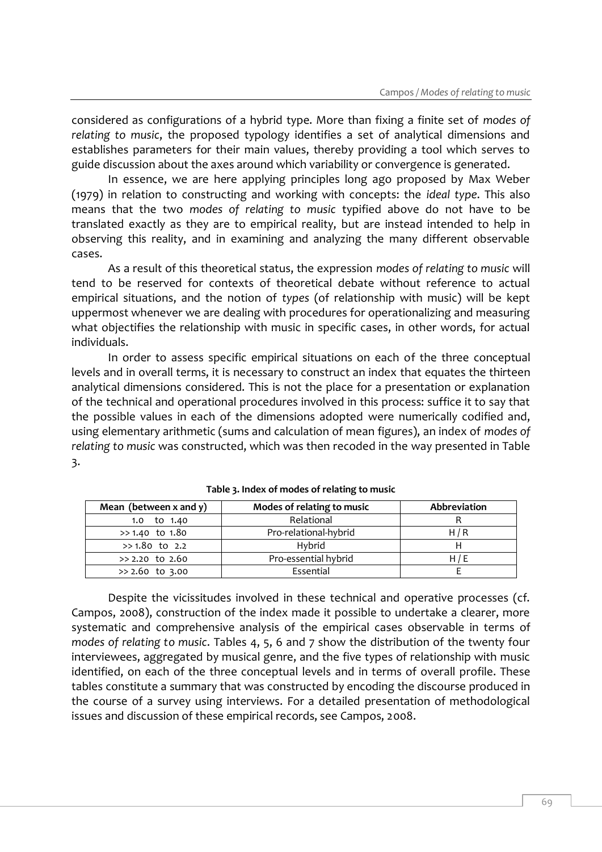considered as configurations of a hybrid type. More than fixing a finite set of *modes of relating to music*, the proposed typology identifies a set of analytical dimensions and establishes parameters for their main values, thereby providing a tool which serves to guide discussion about the axes around which variability or convergence is generated.

In essence, we are here applying principles long ago proposed by Max Weber (1979) in relation to constructing and working with concepts: the *ideal type*. This also means that the two *modes of relating to music* typified above do not have to be translated exactly as they are to empirical reality, but are instead intended to help in observing this reality, and in examining and analyzing the many different observable cases.

As a result of this theoretical status, the expression *modes of relating to music* will tend to be reserved for contexts of theoretical debate without reference to actual empirical situations, and the notion of *types* (of relationship with music) will be kept uppermost whenever we are dealing with procedures for operationalizing and measuring what objectifies the relationship with music in specific cases, in other words, for actual individuals.

In order to assess specific empirical situations on each of the three conceptual levels and in overall terms, it is necessary to construct an index that equates the thirteen analytical dimensions considered. This is not the place for a presentation or explanation of the technical and operational procedures involved in this process: suffice it to say that the possible values in each of the dimensions adopted were numerically codified and, using elementary arithmetic (sums and calculation of mean figures), an index of *modes of relating to music* was constructed, which was then recoded in the way presented in Table 3.

| Mean (between $x$ and $y$ ) | Modes of relating to music | Abbreviation |  |
|-----------------------------|----------------------------|--------------|--|
| 1.0 to 1.40                 | Relational                 |              |  |
| $>> 1.40$ to $1.80$         | Pro-relational-hybrid      | H/R          |  |
| $>> 1.80$ to 2.2            | Hybrid                     |              |  |
| $>2.20$ to 2.60             | Pro-essential hybrid       | H/E          |  |
| $> 2.60$ to 3.00            | Essential                  |              |  |

| Table 3. Index of modes of relating to music |
|----------------------------------------------|
|----------------------------------------------|

Despite the vicissitudes involved in these technical and operative processes (cf. Campos, 2008), construction of the index made it possible to undertake a clearer, more systematic and comprehensive analysis of the empirical cases observable in terms of *modes of relating to music*. Tables 4, 5, 6 and 7 show the distribution of the twenty four interviewees, aggregated by musical genre, and the five types of relationship with music identified, on each of the three conceptual levels and in terms of overall profile. These tables constitute a summary that was constructed by encoding the discourse produced in the course of a survey using interviews. For a detailed presentation of methodological issues and discussion of these empirical records, see Campos, 2008.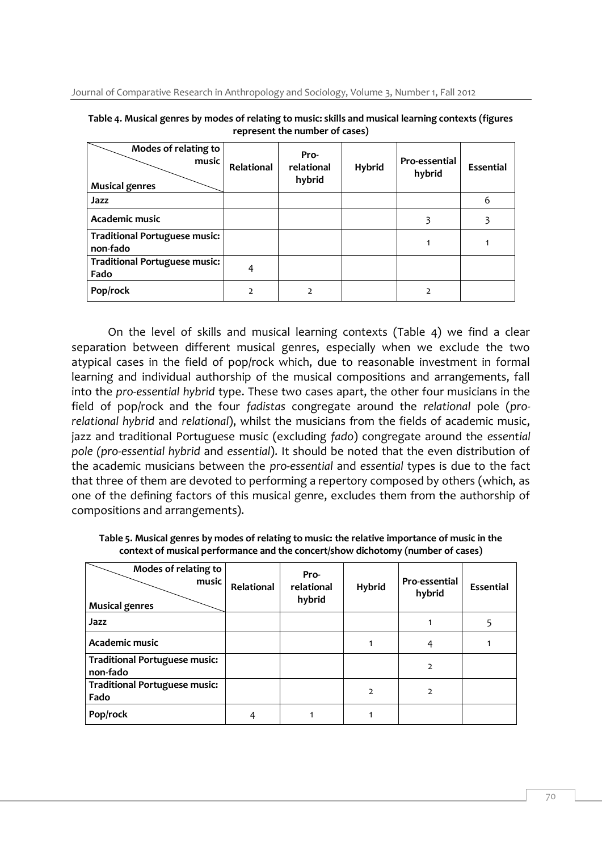| Modes of relating to<br>music<br><b>Musical genres</b> | Relational | Pro-<br>relational<br>hybrid | <b>Hybrid</b> | Pro-essential<br>hybrid | <b>Essential</b> |
|--------------------------------------------------------|------------|------------------------------|---------------|-------------------------|------------------|
| Jazz                                                   |            |                              |               |                         | 6                |
| Academic music                                         |            |                              |               | 3                       |                  |
| <b>Traditional Portuguese music:</b><br>non-fado       |            |                              |               |                         |                  |
| <b>Traditional Portuguese music:</b><br>Fado           | 4          |                              |               |                         |                  |
| Pop/rock                                               | 2          |                              |               | C                       |                  |

**Table 4. Musical genres by modes of relating to music: skills and musical learning contexts (figures represent the number of cases)**

On the level of skills and musical learning contexts (Table 4) we find a clear separation between different musical genres, especially when we exclude the two atypical cases in the field of pop/rock which, due to reasonable investment in formal learning and individual authorship of the musical compositions and arrangements, fall into the *pro-essential hybrid* type. These two cases apart, the other four musicians in the field of pop/rock and the four *fadistas* congregate around the *relational* pole (*prorelational hybrid* and *relational*), whilst the musicians from the fields of academic music, jazz and traditional Portuguese music (excluding *fado*) congregate around the *essential pole (pro-essential hybrid* and *essential*). It should be noted that the even distribution of the academic musicians between the *pro-essential* and *essential* types is due to the fact that three of them are devoted to performing a repertory composed by others (which, as one of the defining factors of this musical genre, excludes them from the authorship of compositions and arrangements).

| Modes of relating to<br>music<br><b>Musical genres</b> | Relational | Pro-<br>relational<br>hybrid | <b>Hybrid</b>  | Pro-essential<br>hybrid | Essential |
|--------------------------------------------------------|------------|------------------------------|----------------|-------------------------|-----------|
| Jazz                                                   |            |                              |                |                         |           |
| Academic music                                         |            |                              |                | 4                       |           |
| <b>Traditional Portuguese music:</b><br>non-fado       |            |                              |                | 2                       |           |
| <b>Traditional Portuguese music:</b><br>Fado           |            |                              | $\overline{2}$ | $\overline{2}$          |           |
| Pop/rock                                               |            |                              |                |                         |           |

**Table 5. Musical genres by modes of relating to music: the relative importance of music in the context of musical performance and the concert/show dichotomy (number of cases)**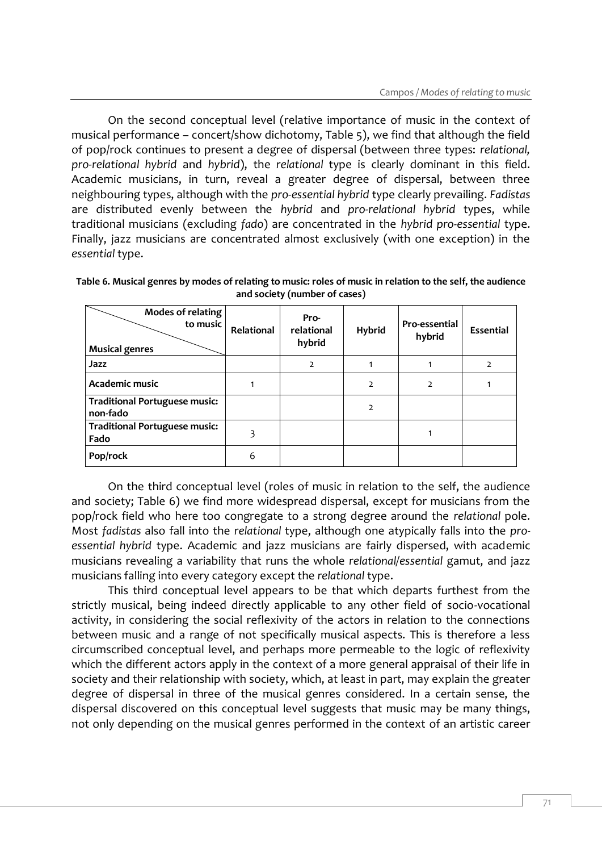On the second conceptual level (relative importance of music in the context of musical performance – concert/show dichotomy, Table 5), we find that although the field of pop/rock continues to present a degree of dispersal (between three types: *relational, pro-relational hybrid* and *hybrid*), the *relational* type is clearly dominant in this field. Academic musicians, in turn, reveal a greater degree of dispersal, between three neighbouring types, although with the *pro-essential hybrid* type clearly prevailing. *Fadistas* are distributed evenly between the *hybrid* and *pro-relational hybrid* types, while traditional musicians (excluding *fado*) are concentrated in the *hybrid pro-essential* type. Finally, jazz musicians are concentrated almost exclusively (with one exception) in the *essential* type.

| Modes of relating<br>to music<br><b>Musical genres</b> | Relational | Pro-<br>relational<br>hybrid | <b>Hybrid</b>  | Pro-essential<br>hybrid | Essential      |
|--------------------------------------------------------|------------|------------------------------|----------------|-------------------------|----------------|
| Jazz                                                   |            | $\overline{2}$               |                |                         | $\overline{2}$ |
| Academic music                                         |            |                              | $\overline{2}$ | $\overline{2}$          |                |
| <b>Traditional Portuguese music:</b><br>non-fado       |            |                              | $\overline{2}$ |                         |                |
| <b>Traditional Portuguese music:</b><br>Fado           |            |                              |                | 1                       |                |
| Pop/rock                                               | 6          |                              |                |                         |                |

**Table 6. Musical genres by modes of relating to music: roles of music in relation to the self, the audience and society (number of cases)** 

On the third conceptual level (roles of music in relation to the self, the audience and society; Table 6) we find more widespread dispersal, except for musicians from the pop/rock field who here too congregate to a strong degree around the *relational* pole. Most *fadistas* also fall into the *relational* type, although one atypically falls into the *proessential hybrid* type. Academic and jazz musicians are fairly dispersed, with academic musicians revealing a variability that runs the whole *relational/essential* gamut, and jazz musicians falling into every category except the *relational* type.

This third conceptual level appears to be that which departs furthest from the strictly musical, being indeed directly applicable to any other field of socio-vocational activity, in considering the social reflexivity of the actors in relation to the connections between music and a range of not specifically musical aspects. This is therefore a less circumscribed conceptual level, and perhaps more permeable to the logic of reflexivity which the different actors apply in the context of a more general appraisal of their life in society and their relationship with society, which, at least in part, may explain the greater degree of dispersal in three of the musical genres considered. In a certain sense, the dispersal discovered on this conceptual level suggests that music may be many things, not only depending on the musical genres performed in the context of an artistic career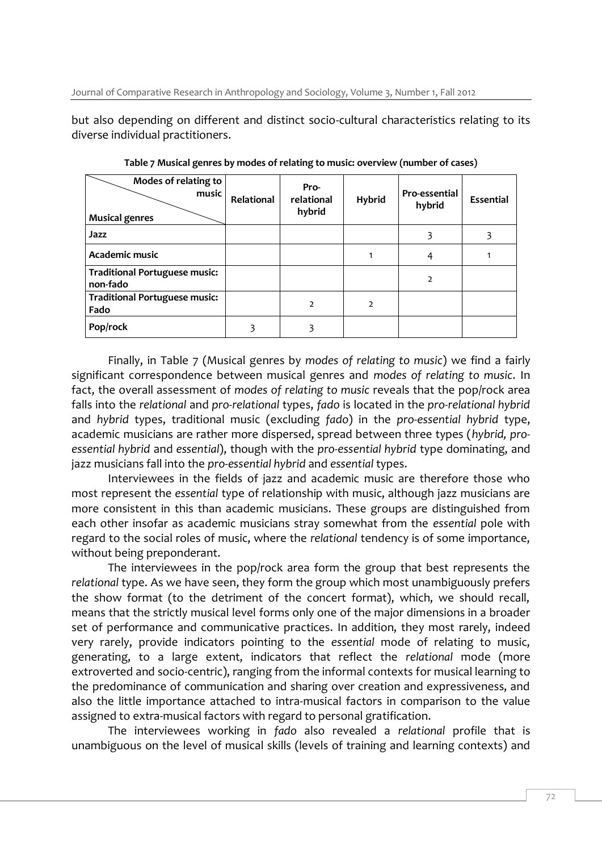but also depending on different and distinct socio-cultural characteristics relating to its diverse individual practitioners.

| Modes of relating to<br>music<br><b>Musical genres</b> | Relational | Pro-<br>relational<br>hybrid | <b>Hybrid</b>  | Pro-essential<br>hybrid | Essential |
|--------------------------------------------------------|------------|------------------------------|----------------|-------------------------|-----------|
| Jazz                                                   |            |                              |                | 3                       |           |
| Academic music                                         |            |                              |                | 4                       |           |
| <b>Traditional Portuguese music:</b><br>non-fado       |            |                              |                | $\overline{2}$          |           |
| <b>Traditional Portuguese music:</b><br>Fado           |            | $\overline{2}$               | $\overline{2}$ |                         |           |
| Pop/rock                                               |            |                              |                |                         |           |

**Table 7 Musical genres by modes of relating to music: overview (number of cases)**

Finally, in Table 7 (Musical genres by *modes of relating to music*) we find a fairly significant correspondence between musical genres and *modes of relating to music*. In fact, the overall assessment of *modes of relating to music* reveals that the pop/rock area falls into the *relational* and *pro-relational* types, *fado* is located in the *pro-relational hybrid* and *hybrid* types, traditional music (excluding *fado*) in the *pro-essential hybrid* type, academic musicians are rather more dispersed, spread between three types (*hybrid, proessential hybrid* and *essential*), though with the *pro-essential hybrid* type dominating, and jazz musicians fall into the *pro-essential hybrid* and *essential* types.

Interviewees in the fields of jazz and academic music are therefore those who most represent the *essential* type of relationship with music, although jazz musicians are more consistent in this than academic musicians. These groups are distinguished from each other insofar as academic musicians stray somewhat from the *essential* pole with regard to the social roles of music, where the *relational* tendency is of some importance, without being preponderant.

The interviewees in the pop/rock area form the group that best represents the *relational* type. As we have seen, they form the group which most unambiguously prefers the show format (to the detriment of the concert format), which, we should recall, means that the strictly musical level forms only one of the major dimensions in a broader set of performance and communicative practices. In addition, they most rarely, indeed very rarely, provide indicators pointing to the *essential* mode of relating to music, generating, to a large extent, indicators that reflect the *relational* mode (more extroverted and socio-centric), ranging from the informal contexts for musical learning to the predominance of communication and sharing over creation and expressiveness, and also the little importance attached to intra-musical factors in comparison to the value assigned to extra-musical factors with regard to personal gratification.

The interviewees working in *fado* also revealed a *relational* profile that is unambiguous on the level of musical skills (levels of training and learning contexts) and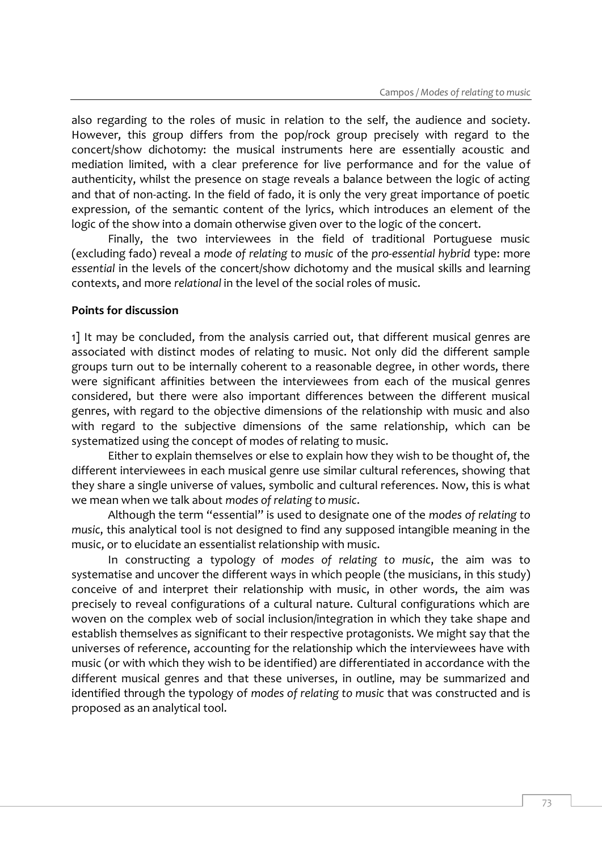also regarding to the roles of music in relation to the self, the audience and society. However, this group differs from the pop/rock group precisely with regard to the concert/show dichotomy: the musical instruments here are essentially acoustic and mediation limited, with a clear preference for live performance and for the value of authenticity, whilst the presence on stage reveals a balance between the logic of acting and that of non-acting. In the field of fado, it is only the very great importance of poetic expression, of the semantic content of the lyrics, which introduces an element of the logic of the show into a domain otherwise given over to the logic of the concert.

Finally, the two interviewees in the field of traditional Portuguese music (excluding fado) reveal a *mode of relating to music* of the *pro-essential hybrid* type: more *essential* in the levels of the concert/show dichotomy and the musical skills and learning contexts, and more *relational* in the level of the social roles of music.

#### **Points for discussion**

1] It may be concluded, from the analysis carried out, that different musical genres are associated with distinct modes of relating to music. Not only did the different sample groups turn out to be internally coherent to a reasonable degree, in other words, there were significant affinities between the interviewees from each of the musical genres considered, but there were also important differences between the different musical genres, with regard to the objective dimensions of the relationship with music and also with regard to the subjective dimensions of the same relationship, which can be systematized using the concept of modes of relating to music.

Either to explain themselves or else to explain how they wish to be thought of, the different interviewees in each musical genre use similar cultural references, showing that they share a single universe of values, symbolic and cultural references. Now, this is what we mean when we talk about *modes of relating to music*.

Although the term "essential" is used to designate one of the *modes of relating to music*, this analytical tool is not designed to find any supposed intangible meaning in the music, or to elucidate an essentialist relationship with music.

In constructing a typology of *modes of relating to music*, the aim was to systematise and uncover the different ways in which people (the musicians, in this study) conceive of and interpret their relationship with music, in other words, the aim was precisely to reveal configurations of a cultural nature. Cultural configurations which are woven on the complex web of social inclusion/integration in which they take shape and establish themselves as significant to their respective protagonists. We might say that the universes of reference, accounting for the relationship which the interviewees have with music (or with which they wish to be identified) are differentiated in accordance with the different musical genres and that these universes, in outline, may be summarized and identified through the typology of *modes of relating to music* that was constructed and is proposed as an analytical tool.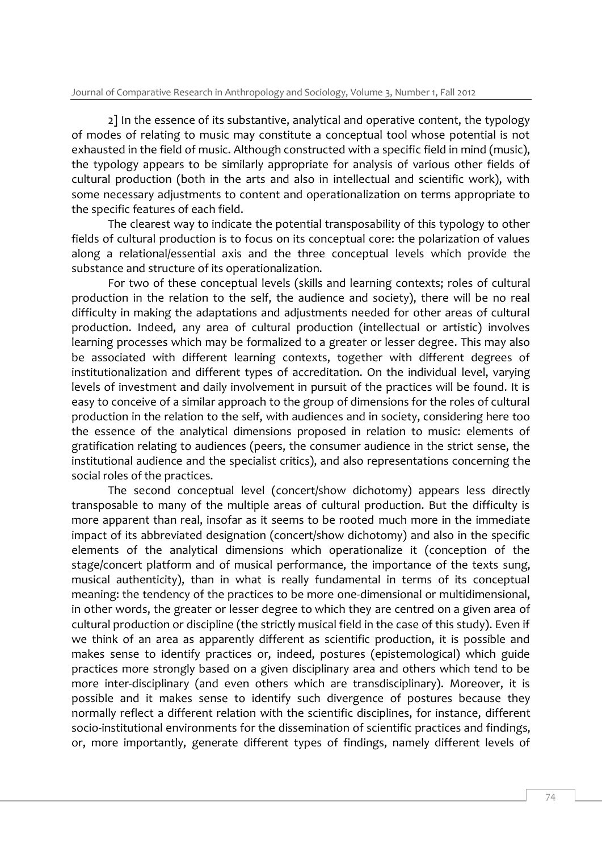2] In the essence of its substantive, analytical and operative content, the typology of modes of relating to music may constitute a conceptual tool whose potential is not exhausted in the field of music. Although constructed with a specific field in mind (music), the typology appears to be similarly appropriate for analysis of various other fields of cultural production (both in the arts and also in intellectual and scientific work), with some necessary adjustments to content and operationalization on terms appropriate to the specific features of each field.

The clearest way to indicate the potential transposability of this typology to other fields of cultural production is to focus on its conceptual core: the polarization of values along a relational/essential axis and the three conceptual levels which provide the substance and structure of its operationalization.

For two of these conceptual levels (skills and learning contexts; roles of cultural production in the relation to the self, the audience and society), there will be no real difficulty in making the adaptations and adjustments needed for other areas of cultural production. Indeed, any area of cultural production (intellectual or artistic) involves learning processes which may be formalized to a greater or lesser degree. This may also be associated with different learning contexts, together with different degrees of institutionalization and different types of accreditation. On the individual level, varying levels of investment and daily involvement in pursuit of the practices will be found. It is easy to conceive of a similar approach to the group of dimensions for the roles of cultural production in the relation to the self, with audiences and in society, considering here too the essence of the analytical dimensions proposed in relation to music: elements of gratification relating to audiences (peers, the consumer audience in the strict sense, the institutional audience and the specialist critics), and also representations concerning the social roles of the practices.

The second conceptual level (concert/show dichotomy) appears less directly transposable to many of the multiple areas of cultural production. But the difficulty is more apparent than real, insofar as it seems to be rooted much more in the immediate impact of its abbreviated designation (concert/show dichotomy) and also in the specific elements of the analytical dimensions which operationalize it (conception of the stage/concert platform and of musical performance, the importance of the texts sung, musical authenticity), than in what is really fundamental in terms of its conceptual meaning: the tendency of the practices to be more one-dimensional or multidimensional, in other words, the greater or lesser degree to which they are centred on a given area of cultural production or discipline (the strictly musical field in the case of this study). Even if we think of an area as apparently different as scientific production, it is possible and makes sense to identify practices or, indeed, postures (epistemological) which guide practices more strongly based on a given disciplinary area and others which tend to be more inter-disciplinary (and even others which are transdisciplinary). Moreover, it is possible and it makes sense to identify such divergence of postures because they normally reflect a different relation with the scientific disciplines, for instance, different socio-institutional environments for the dissemination of scientific practices and findings, or, more importantly, generate different types of findings, namely different levels of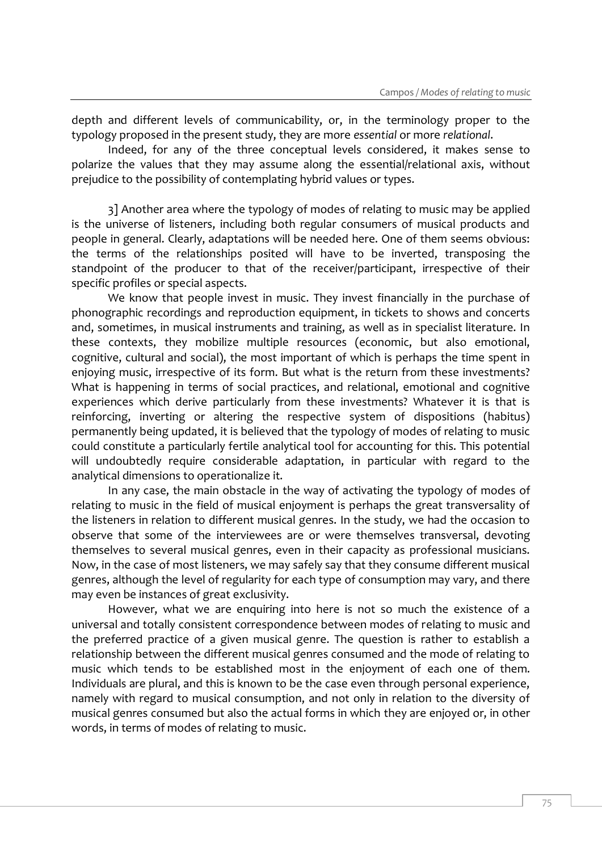depth and different levels of communicability, or, in the terminology proper to the typology proposed in the present study, they are more *essential* or more *relational*.

Indeed, for any of the three conceptual levels considered, it makes sense to polarize the values that they may assume along the essential/relational axis, without prejudice to the possibility of contemplating hybrid values or types.

3] Another area where the typology of modes of relating to music may be applied is the universe of listeners, including both regular consumers of musical products and people in general. Clearly, adaptations will be needed here. One of them seems obvious: the terms of the relationships posited will have to be inverted, transposing the standpoint of the producer to that of the receiver/participant, irrespective of their specific profiles or special aspects.

We know that people invest in music. They invest financially in the purchase of phonographic recordings and reproduction equipment, in tickets to shows and concerts and, sometimes, in musical instruments and training, as well as in specialist literature. In these contexts, they mobilize multiple resources (economic, but also emotional, cognitive, cultural and social), the most important of which is perhaps the time spent in enjoying music, irrespective of its form. But what is the return from these investments? What is happening in terms of social practices, and relational, emotional and cognitive experiences which derive particularly from these investments? Whatever it is that is reinforcing, inverting or altering the respective system of dispositions (habitus) permanently being updated, it is believed that the typology of modes of relating to music could constitute a particularly fertile analytical tool for accounting for this. This potential will undoubtedly require considerable adaptation, in particular with regard to the analytical dimensions to operationalize it.

In any case, the main obstacle in the way of activating the typology of modes of relating to music in the field of musical enjoyment is perhaps the great transversality of the listeners in relation to different musical genres. In the study, we had the occasion to observe that some of the interviewees are or were themselves transversal, devoting themselves to several musical genres, even in their capacity as professional musicians. Now, in the case of most listeners, we may safely say that they consume different musical genres, although the level of regularity for each type of consumption may vary, and there may even be instances of great exclusivity.

However, what we are enquiring into here is not so much the existence of a universal and totally consistent correspondence between modes of relating to music and the preferred practice of a given musical genre. The question is rather to establish a relationship between the different musical genres consumed and the mode of relating to music which tends to be established most in the enjoyment of each one of them. Individuals are plural, and this is known to be the case even through personal experience, namely with regard to musical consumption, and not only in relation to the diversity of musical genres consumed but also the actual forms in which they are enjoyed or, in other words, in terms of modes of relating to music.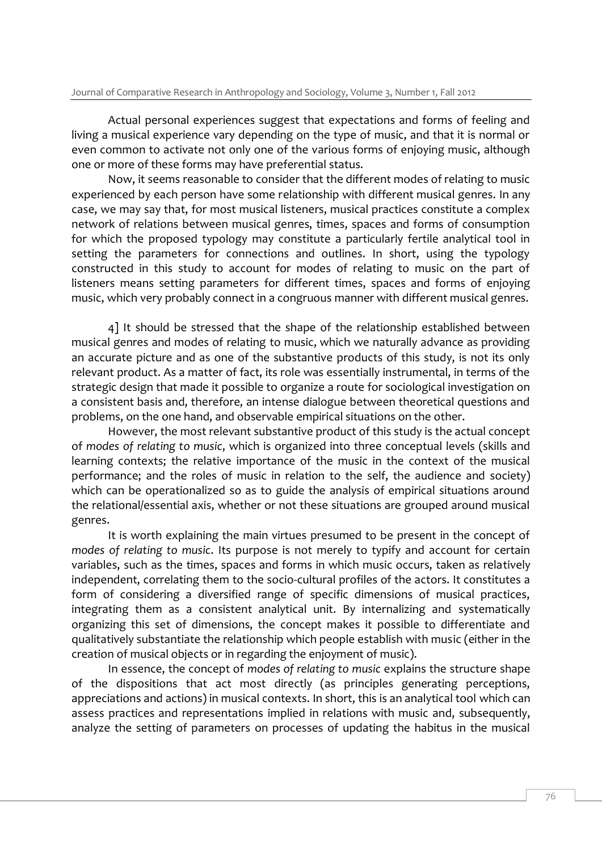Actual personal experiences suggest that expectations and forms of feeling and living a musical experience vary depending on the type of music, and that it is normal or even common to activate not only one of the various forms of enjoying music, although one or more of these forms may have preferential status.

Now, it seems reasonable to consider that the different modes of relating to music experienced by each person have some relationship with different musical genres. In any case, we may say that, for most musical listeners, musical practices constitute a complex network of relations between musical genres, times, spaces and forms of consumption for which the proposed typology may constitute a particularly fertile analytical tool in setting the parameters for connections and outlines. In short, using the typology constructed in this study to account for modes of relating to music on the part of listeners means setting parameters for different times, spaces and forms of enjoying music, which very probably connect in a congruous manner with different musical genres.

4] It should be stressed that the shape of the relationship established between musical genres and modes of relating to music, which we naturally advance as providing an accurate picture and as one of the substantive products of this study, is not its only relevant product. As a matter of fact, its role was essentially instrumental, in terms of the strategic design that made it possible to organize a route for sociological investigation on a consistent basis and, therefore, an intense dialogue between theoretical questions and problems, on the one hand, and observable empirical situations on the other.

However, the most relevant substantive product of this study is the actual concept of *modes of relating to music*, which is organized into three conceptual levels (skills and learning contexts; the relative importance of the music in the context of the musical performance; and the roles of music in relation to the self, the audience and society) which can be operationalized so as to guide the analysis of empirical situations around the relational/essential axis, whether or not these situations are grouped around musical genres.

It is worth explaining the main virtues presumed to be present in the concept of *modes of relating to music*. Its purpose is not merely to typify and account for certain variables, such as the times, spaces and forms in which music occurs, taken as relatively independent, correlating them to the socio-cultural profiles of the actors. It constitutes a form of considering a diversified range of specific dimensions of musical practices, integrating them as a consistent analytical unit. By internalizing and systematically organizing this set of dimensions, the concept makes it possible to differentiate and qualitatively substantiate the relationship which people establish with music (either in the creation of musical objects or in regarding the enjoyment of music).

In essence, the concept of *modes of relating to music* explains the structure shape of the dispositions that act most directly (as principles generating perceptions, appreciations and actions) in musical contexts. In short, this is an analytical tool which can assess practices and representations implied in relations with music and, subsequently, analyze the setting of parameters on processes of updating the habitus in the musical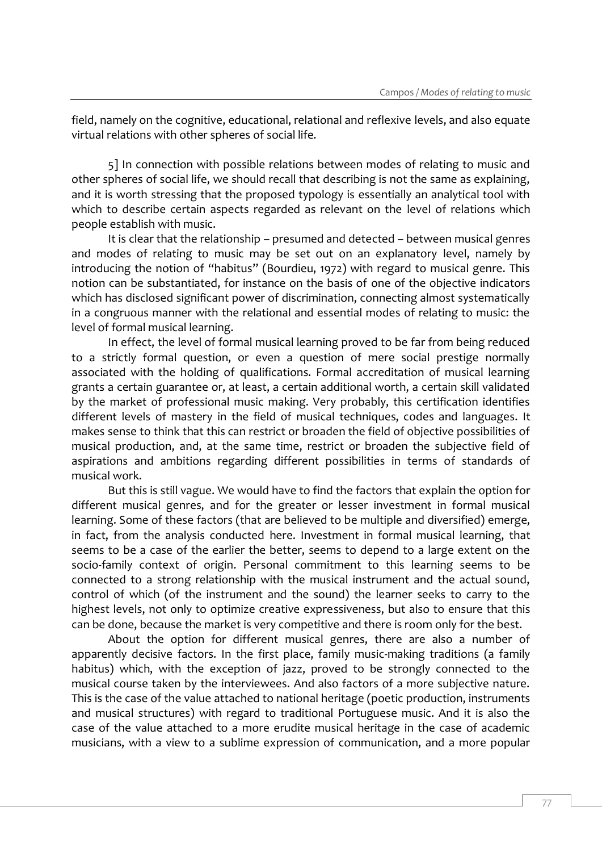field, namely on the cognitive, educational, relational and reflexive levels, and also equate virtual relations with other spheres of social life.

5] In connection with possible relations between modes of relating to music and other spheres of social life, we should recall that describing is not the same as explaining, and it is worth stressing that the proposed typology is essentially an analytical tool with which to describe certain aspects regarded as relevant on the level of relations which people establish with music.

It is clear that the relationship – presumed and detected – between musical genres and modes of relating to music may be set out on an explanatory level, namely by introducing the notion of "habitus" (Bourdieu, 1972) with regard to musical genre. This notion can be substantiated, for instance on the basis of one of the objective indicators which has disclosed significant power of discrimination, connecting almost systematically in a congruous manner with the relational and essential modes of relating to music: the level of formal musical learning.

In effect, the level of formal musical learning proved to be far from being reduced to a strictly formal question, or even a question of mere social prestige normally associated with the holding of qualifications. Formal accreditation of musical learning grants a certain guarantee or, at least, a certain additional worth, a certain skill validated by the market of professional music making. Very probably, this certification identifies different levels of mastery in the field of musical techniques, codes and languages. It makes sense to think that this can restrict or broaden the field of objective possibilities of musical production, and, at the same time, restrict or broaden the subjective field of aspirations and ambitions regarding different possibilities in terms of standards of musical work.

But this is still vague. We would have to find the factors that explain the option for different musical genres, and for the greater or lesser investment in formal musical learning. Some of these factors (that are believed to be multiple and diversified) emerge, in fact, from the analysis conducted here. Investment in formal musical learning, that seems to be a case of the earlier the better, seems to depend to a large extent on the socio-family context of origin. Personal commitment to this learning seems to be connected to a strong relationship with the musical instrument and the actual sound, control of which (of the instrument and the sound) the learner seeks to carry to the highest levels, not only to optimize creative expressiveness, but also to ensure that this can be done, because the market is very competitive and there is room only for the best.

About the option for different musical genres, there are also a number of apparently decisive factors. In the first place, family music-making traditions (a family habitus) which, with the exception of jazz, proved to be strongly connected to the musical course taken by the interviewees. And also factors of a more subjective nature. This is the case of the value attached to national heritage (poetic production, instruments and musical structures) with regard to traditional Portuguese music. And it is also the case of the value attached to a more erudite musical heritage in the case of academic musicians, with a view to a sublime expression of communication, and a more popular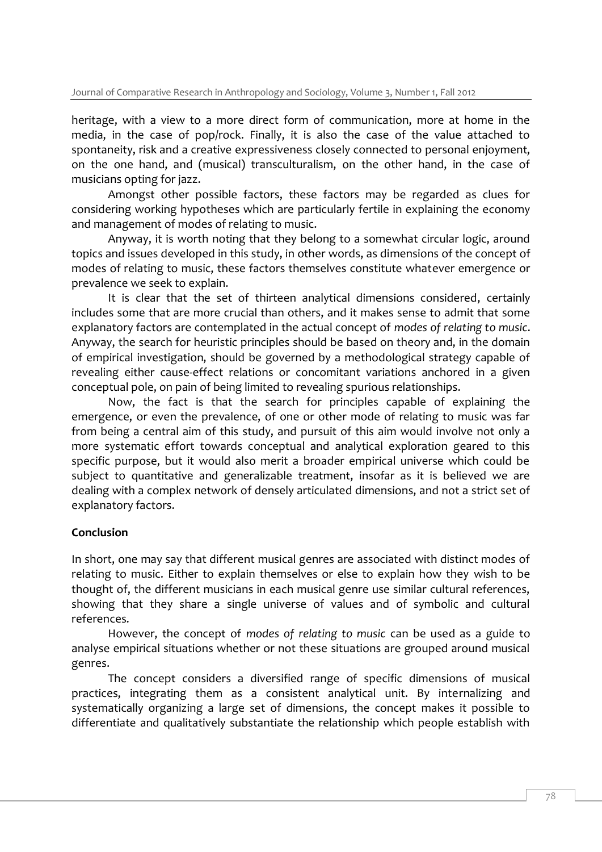heritage, with a view to a more direct form of communication, more at home in the media, in the case of pop/rock. Finally, it is also the case of the value attached to spontaneity, risk and a creative expressiveness closely connected to personal enjoyment, on the one hand, and (musical) transculturalism, on the other hand, in the case of musicians opting for jazz.

Amongst other possible factors, these factors may be regarded as clues for considering working hypotheses which are particularly fertile in explaining the economy and management of modes of relating to music.

Anyway, it is worth noting that they belong to a somewhat circular logic, around topics and issues developed in this study, in other words, as dimensions of the concept of modes of relating to music, these factors themselves constitute whatever emergence or prevalence we seek to explain.

It is clear that the set of thirteen analytical dimensions considered, certainly includes some that are more crucial than others, and it makes sense to admit that some explanatory factors are contemplated in the actual concept of *modes of relating to music*. Anyway, the search for heuristic principles should be based on theory and, in the domain of empirical investigation, should be governed by a methodological strategy capable of revealing either cause-effect relations or concomitant variations anchored in a given conceptual pole, on pain of being limited to revealing spurious relationships.

Now, the fact is that the search for principles capable of explaining the emergence, or even the prevalence, of one or other mode of relating to music was far from being a central aim of this study, and pursuit of this aim would involve not only a more systematic effort towards conceptual and analytical exploration geared to this specific purpose, but it would also merit a broader empirical universe which could be subject to quantitative and generalizable treatment, insofar as it is believed we are dealing with a complex network of densely articulated dimensions, and not a strict set of explanatory factors.

#### **Conclusion**

In short, one may say that different musical genres are associated with distinct modes of relating to music. Either to explain themselves or else to explain how they wish to be thought of, the different musicians in each musical genre use similar cultural references, showing that they share a single universe of values and of symbolic and cultural references.

However, the concept of *modes of relating to music* can be used as a guide to analyse empirical situations whether or not these situations are grouped around musical genres.

The concept considers a diversified range of specific dimensions of musical practices, integrating them as a consistent analytical unit. By internalizing and systematically organizing a large set of dimensions, the concept makes it possible to differentiate and qualitatively substantiate the relationship which people establish with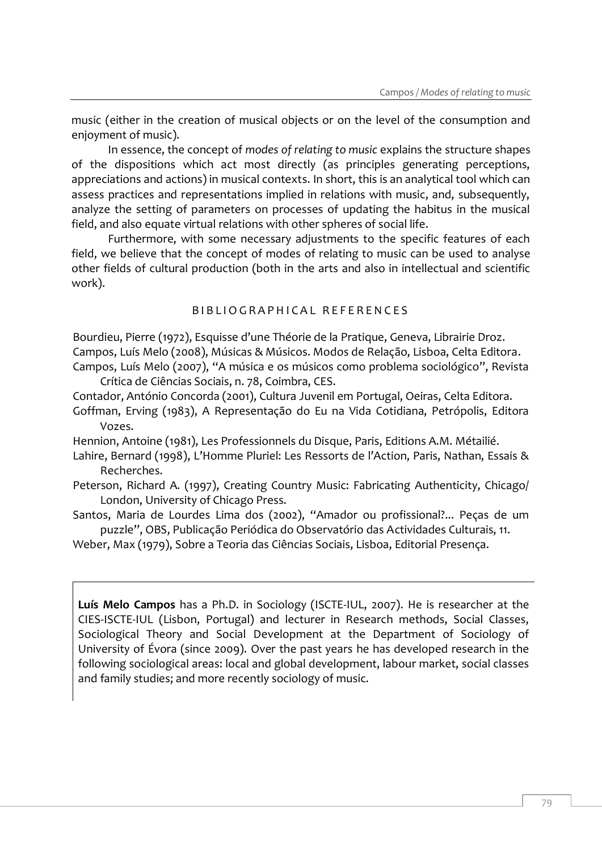music (either in the creation of musical objects or on the level of the consumption and enjoyment of music).

In essence, the concept of *modes of relating to music* explains the structure shapes of the dispositions which act most directly (as principles generating perceptions, appreciations and actions) in musical contexts. In short, this is an analytical tool which can assess practices and representations implied in relations with music, and, subsequently, analyze the setting of parameters on processes of updating the habitus in the musical field, and also equate virtual relations with other spheres of social life.

Furthermore, with some necessary adjustments to the specific features of each field, we believe that the concept of modes of relating to music can be used to analyse other fields of cultural production (both in the arts and also in intellectual and scientific work).

#### B I B L I O G R A P H I C A L R E F E R E N C E S

Bourdieu, Pierre (1972), Esquisse d'une Théorie de la Pratique, Geneva, Librairie Droz. Campos, Luís Melo (2008), Músicas & Músicos. Modos de Relação, Lisboa, Celta Editora. Campos, Luís Melo (2007), "A música e os músicos como problema sociológico", Revista Crítica de Ciências Sociais, n. 78, Coimbra, CES.

Contador, António Concorda (2001), Cultura Juvenil em Portugal, Oeiras, Celta Editora. Goffman, Erving (1983), A Representação do Eu na Vida Cotidiana, Petrópolis, Editora Vozes.

Hennion, Antoine (1981), Les Professionnels du Disque, Paris, Editions A.M. Métailié.

- Lahire, Bernard (1998), L'Homme Pluriel: Les Ressorts de l'Action, Paris, Nathan, Essais & Recherches.
- Peterson, Richard A. (1997), Creating Country Music: Fabricating Authenticity, Chicago/ London, University of Chicago Press.
- Santos, Maria de Lourdes Lima dos (2002), "Amador ou profissional?... Peças de um puzzle", OBS, Publicação Periódica do Observatório das Actividades Culturais, 11.

Weber, Max (1979), Sobre a Teoria das Ciências Sociais, Lisboa, Editorial Presença.

**Luís Melo Campos** has a Ph.D. in Sociology (ISCTE-IUL, 2007). He is researcher at the CIES-ISCTE-IUL (Lisbon, Portugal) and lecturer in Research methods, Social Classes, Sociological Theory and Social Development at the Department of Sociology of University of Évora (since 2009). Over the past years he has developed research in the following sociological areas: local and global development, labour market, social classes and family studies; and more recently sociology of music.